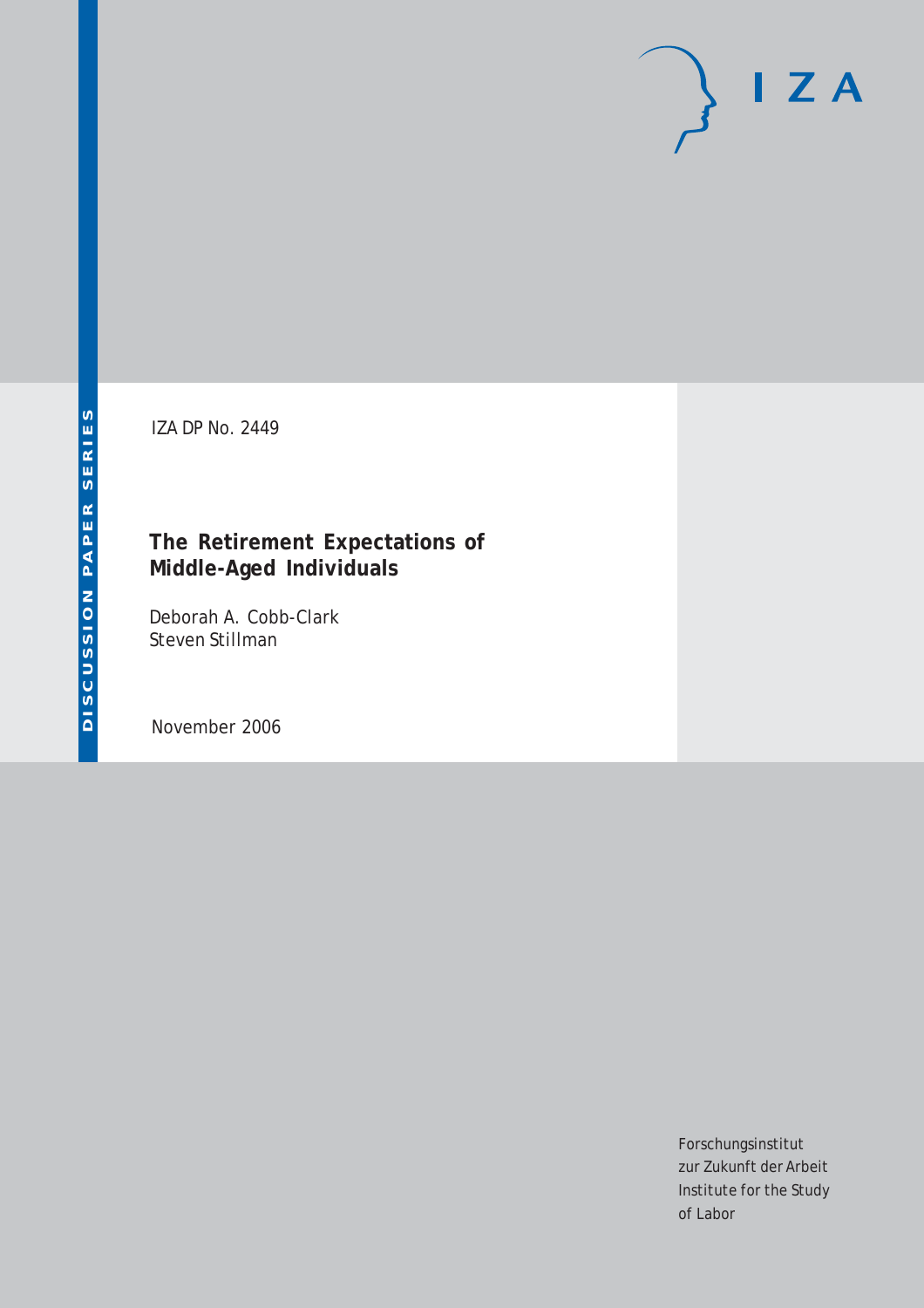# $I Z A$

IZA DP No. 2449

## **The Retirement Expectations of Middle-Aged Individuals**

Deborah A. Cobb-Clark Steven Stillman

November 2006

Forschungsinstitut zur Zukunft der Arbeit Institute for the Study of Labor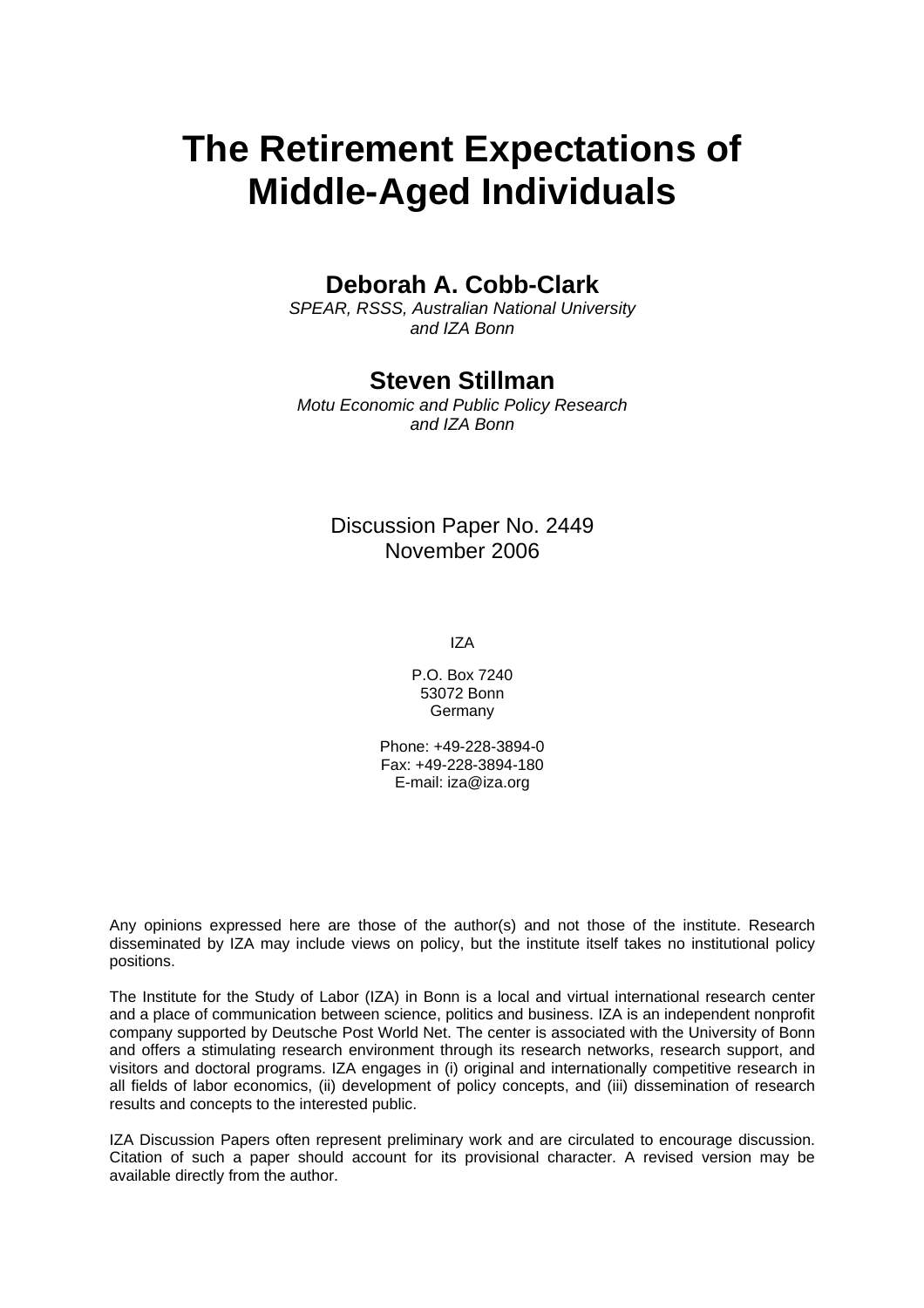# **The Retirement Expectations of Middle-Aged Individuals**

## **Deborah A. Cobb-Clark**

*SPEAR, RSSS, Australian National University and IZA Bonn* 

## **Steven Stillman**

*Motu Economic and Public Policy Research and IZA Bonn* 

## Discussion Paper No. 2449 November 2006

IZA

P.O. Box 7240 53072 Bonn Germany

Phone: +49-228-3894-0 Fax: +49-228-3894-180 E-mail: [iza@iza.org](mailto:iza@iza.org)

Any opinions expressed here are those of the author(s) and not those of the institute. Research disseminated by IZA may include views on policy, but the institute itself takes no institutional policy positions.

The Institute for the Study of Labor (IZA) in Bonn is a local and virtual international research center and a place of communication between science, politics and business. IZA is an independent nonprofit company supported by Deutsche Post World Net. The center is associated with the University of Bonn and offers a stimulating research environment through its research networks, research support, and visitors and doctoral programs. IZA engages in (i) original and internationally competitive research in all fields of labor economics, (ii) development of policy concepts, and (iii) dissemination of research results and concepts to the interested public.

IZA Discussion Papers often represent preliminary work and are circulated to encourage discussion. Citation of such a paper should account for its provisional character. A revised version may be available directly from the author.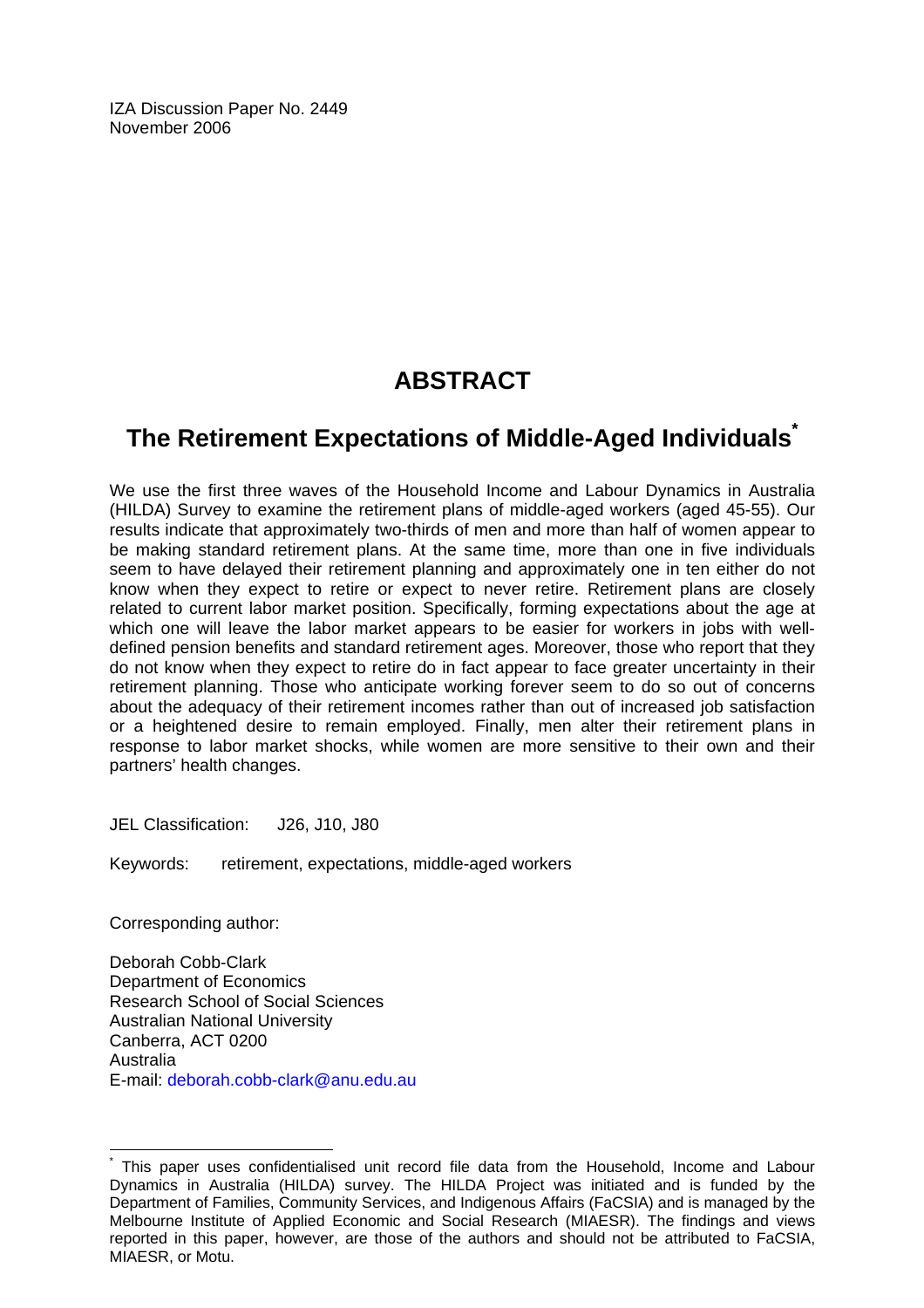IZA Discussion Paper No. 2449 November 2006

# **ABSTRACT**

# **The Retirement Expectations of Middle-Aged Individuals\***

We use the first three waves of the Household Income and Labour Dynamics in Australia (HILDA) Survey to examine the retirement plans of middle-aged workers (aged 45-55). Our results indicate that approximately two-thirds of men and more than half of women appear to be making standard retirement plans. At the same time, more than one in five individuals seem to have delayed their retirement planning and approximately one in ten either do not know when they expect to retire or expect to never retire. Retirement plans are closely related to current labor market position. Specifically, forming expectations about the age at which one will leave the labor market appears to be easier for workers in jobs with welldefined pension benefits and standard retirement ages. Moreover, those who report that they do not know when they expect to retire do in fact appear to face greater uncertainty in their retirement planning. Those who anticipate working forever seem to do so out of concerns about the adequacy of their retirement incomes rather than out of increased job satisfaction or a heightened desire to remain employed. Finally, men alter their retirement plans in response to labor market shocks, while women are more sensitive to their own and their partners' health changes.

JEL Classification: J26, J10, J80

Keywords: retirement, expectations, middle-aged workers

Corresponding author:

 $\overline{a}$ 

Deborah Cobb-Clark Department of Economics Research School of Social Sciences Australian National University Canberra, ACT 0200 Australia E-mail: deborah.cobb-clark@anu.edu.au

<sup>\*</sup> This paper uses confidentialised unit record file data from the Household, Income and Labour Dynamics in Australia (HILDA) survey. The HILDA Project was initiated and is funded by the Department of Families, Community Services, and Indigenous Affairs (FaCSIA) and is managed by the Melbourne Institute of Applied Economic and Social Research (MIAESR). The findings and views reported in this paper, however, are those of the authors and should not be attributed to FaCSIA, MIAESR, or Motu.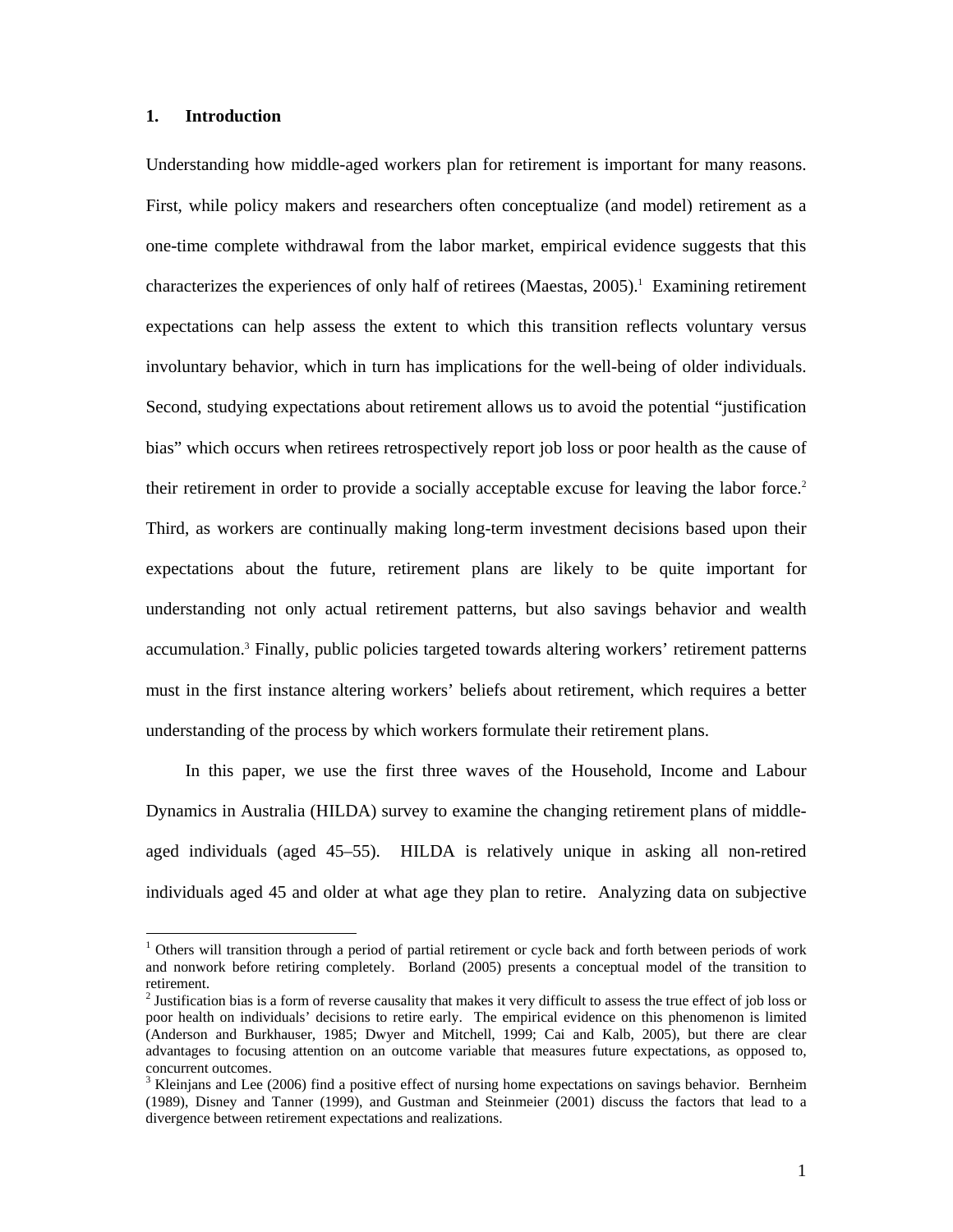#### **1. Introduction**

-

Understanding how middle-aged workers plan for retirement is important for many reasons. First, while policy makers and researchers often conceptualize (and model) retirement as a one-time complete withdrawal from the labor market, empirical evidence suggests that this characterizes the experiences of only half of retirees (Maestas, 2005).<sup>1</sup> Examining retirement expectations can help assess the extent to which this transition reflects voluntary versus involuntary behavior, which in turn has implications for the well-being of older individuals. Second, studying expectations about retirement allows us to avoid the potential "justification bias" which occurs when retirees retrospectively report job loss or poor health as the cause of their retirement in order to provide a socially acceptable excuse for leaving the labor force.<sup>2</sup> Third, as workers are continually making long-term investment decisions based upon their expectations about the future, retirement plans are likely to be quite important for understanding not only actual retirement patterns, but also savings behavior and wealth accumulation.<sup>3</sup> Finally, public policies targeted towards altering workers' retirement patterns must in the first instance altering workers' beliefs about retirement, which requires a better understanding of the process by which workers formulate their retirement plans.

In this paper, we use the first three waves of the Household, Income and Labour Dynamics in Australia (HILDA) survey to examine the changing retirement plans of middleaged individuals (aged 45–55). HILDA is relatively unique in asking all non-retired individuals aged 45 and older at what age they plan to retire. Analyzing data on subjective

<sup>&</sup>lt;sup>1</sup> Others will transition through a period of partial retirement or cycle back and forth between periods of work and nonwork before retiring completely. Borland (2005) presents a conceptual model of the transition to retirement.

<sup>&</sup>lt;sup>2</sup> Justification bias is a form of reverse causality that makes it very difficult to assess the true effect of job loss or poor health on individuals' decisions to retire early. The empirical evidence on this phenomenon is limited (Anderson and Burkhauser, 1985; Dwyer and Mitchell, 1999; Cai and Kalb, 2005), but there are clear advantages to focusing attention on an outcome variable that measures future expectations, as opposed to, concurrent outcomes.

<sup>&</sup>lt;sup>3</sup> Kleinjans and Lee (2006) find a positive effect of nursing home expectations on savings behavior. Bernheim (1989), Disney and Tanner (1999), and Gustman and Steinmeier (2001) discuss the factors that lead to a divergence between retirement expectations and realizations.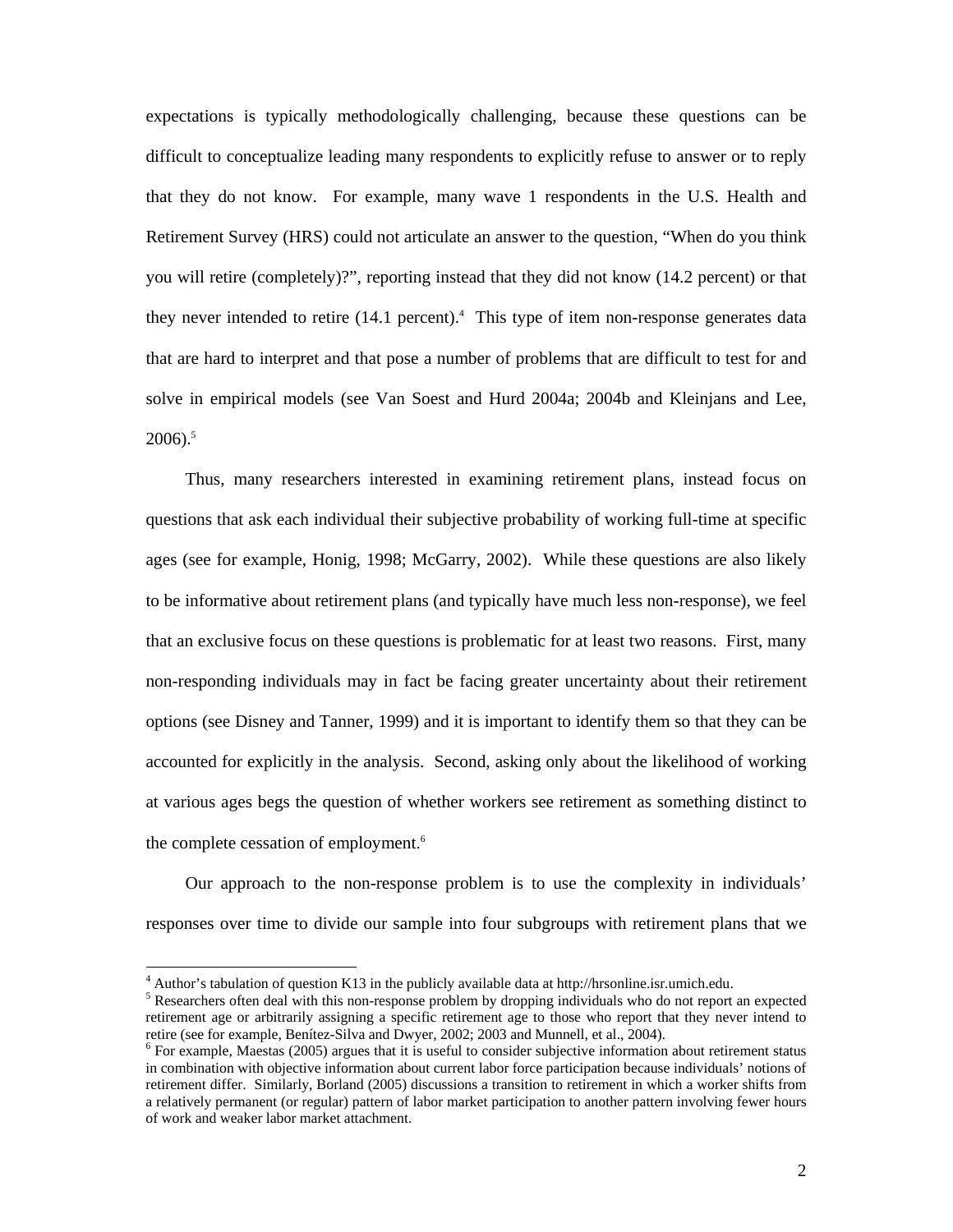expectations is typically methodologically challenging, because these questions can be difficult to conceptualize leading many respondents to explicitly refuse to answer or to reply that they do not know. For example, many wave 1 respondents in the U.S. Health and Retirement Survey (HRS) could not articulate an answer to the question, "When do you think you will retire (completely)?", reporting instead that they did not know (14.2 percent) or that they never intended to retire  $(14.1 \text{ percent})$ .<sup>4</sup> This type of item non-response generates data that are hard to interpret and that pose a number of problems that are difficult to test for and solve in empirical models (see Van Soest and Hurd 2004a; 2004b and Kleinjans and Lee,  $2006$ ).<sup>5</sup>

Thus, many researchers interested in examining retirement plans, instead focus on questions that ask each individual their subjective probability of working full-time at specific ages (see for example, Honig, 1998; McGarry, 2002). While these questions are also likely to be informative about retirement plans (and typically have much less non-response), we feel that an exclusive focus on these questions is problematic for at least two reasons. First, many non-responding individuals may in fact be facing greater uncertainty about their retirement options (see Disney and Tanner, 1999) and it is important to identify them so that they can be accounted for explicitly in the analysis. Second, asking only about the likelihood of working at various ages begs the question of whether workers see retirement as something distinct to the complete cessation of employment.<sup>6</sup>

Our approach to the non-response problem is to use the complexity in individuals' responses over time to divide our sample into four subgroups with retirement plans that we

<sup>&</sup>lt;sup>4</sup> Author's tabulation of question K13 in the publicly available data at http://hrsonline.isr.umich.edu.

<sup>&</sup>lt;sup>5</sup> Researchers often deal with this non-response problem by dropping individuals who do not report an expected retirement age or arbitrarily assigning a specific retirement age to those who report that they never intend to retire (see for example, Benítez-Silva and Dwyer, 2002; 2003 and Munnell, et al., 2004).

 $6$  For example, Maestas (2005) argues that it is useful to consider subjective information about retirement status in combination with objective information about current labor force participation because individuals' notions of retirement differ. Similarly, Borland (2005) discussions a transition to retirement in which a worker shifts from a relatively permanent (or regular) pattern of labor market participation to another pattern involving fewer hours of work and weaker labor market attachment.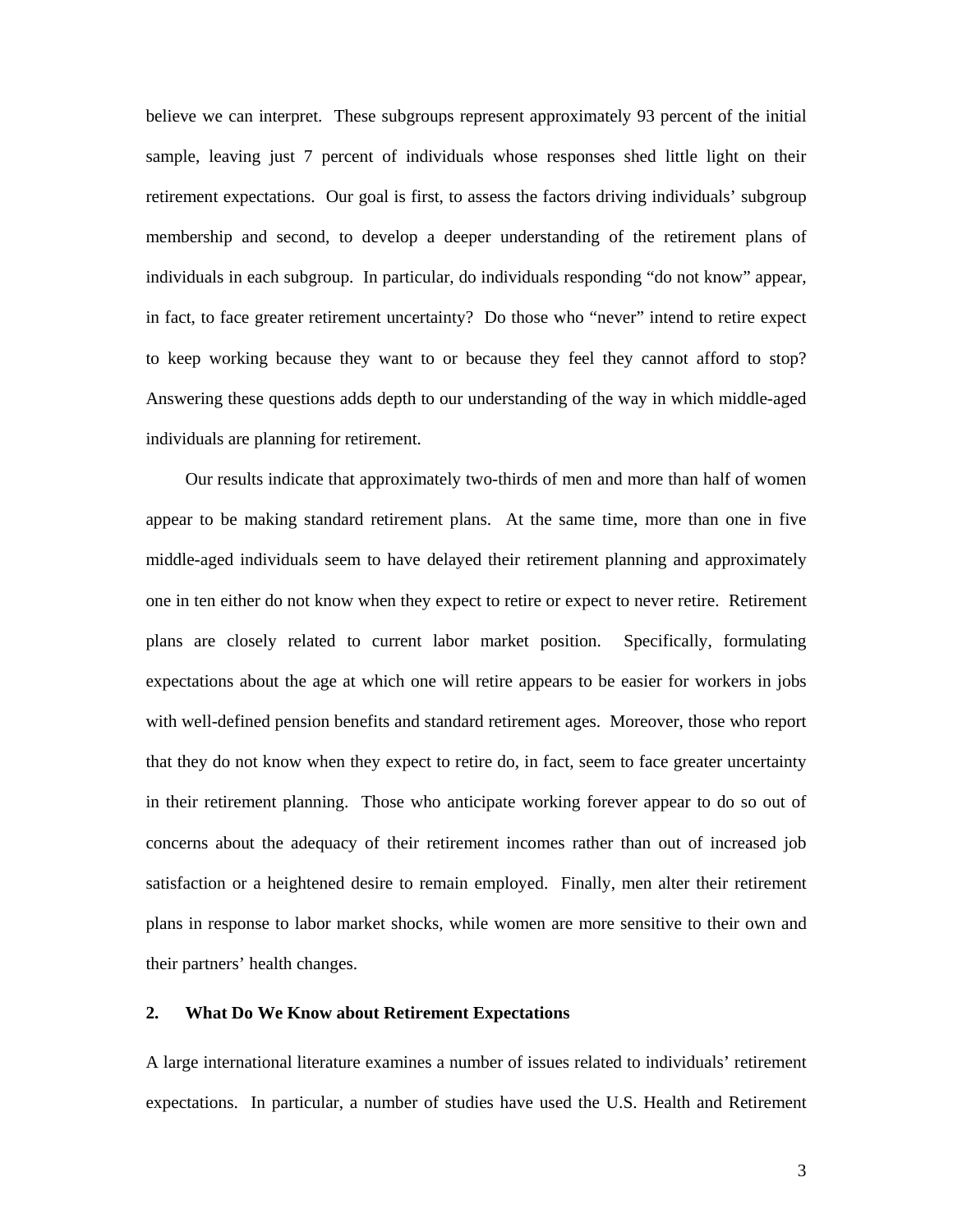believe we can interpret. These subgroups represent approximately 93 percent of the initial sample, leaving just 7 percent of individuals whose responses shed little light on their retirement expectations. Our goal is first, to assess the factors driving individuals' subgroup membership and second, to develop a deeper understanding of the retirement plans of individuals in each subgroup. In particular, do individuals responding "do not know" appear, in fact, to face greater retirement uncertainty? Do those who "never" intend to retire expect to keep working because they want to or because they feel they cannot afford to stop? Answering these questions adds depth to our understanding of the way in which middle-aged individuals are planning for retirement.

Our results indicate that approximately two-thirds of men and more than half of women appear to be making standard retirement plans. At the same time, more than one in five middle-aged individuals seem to have delayed their retirement planning and approximately one in ten either do not know when they expect to retire or expect to never retire. Retirement plans are closely related to current labor market position. Specifically, formulating expectations about the age at which one will retire appears to be easier for workers in jobs with well-defined pension benefits and standard retirement ages. Moreover, those who report that they do not know when they expect to retire do, in fact, seem to face greater uncertainty in their retirement planning. Those who anticipate working forever appear to do so out of concerns about the adequacy of their retirement incomes rather than out of increased job satisfaction or a heightened desire to remain employed. Finally, men alter their retirement plans in response to labor market shocks, while women are more sensitive to their own and their partners' health changes.

#### **2. What Do We Know about Retirement Expectations**

A large international literature examines a number of issues related to individuals' retirement expectations. In particular, a number of studies have used the U.S. Health and Retirement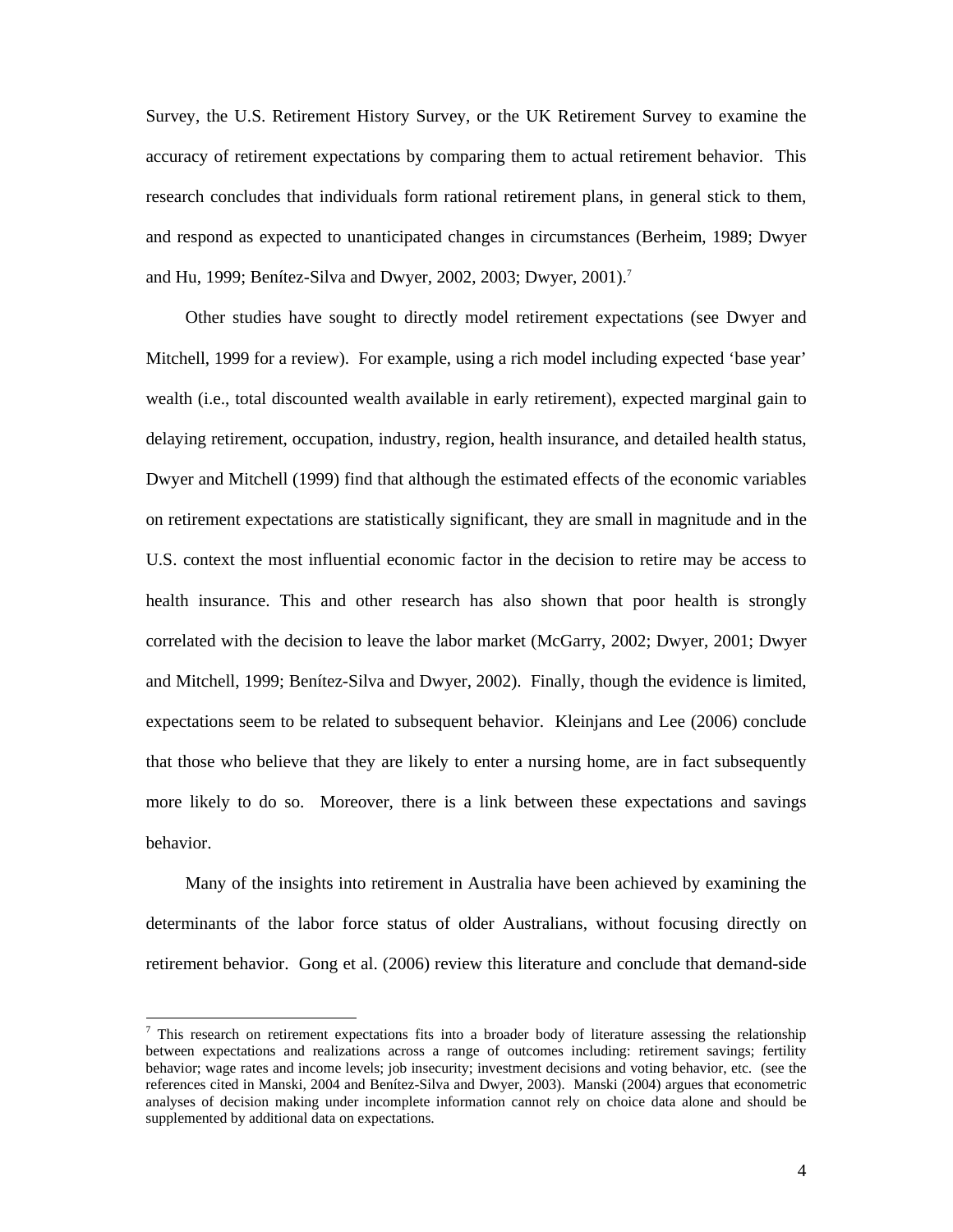Survey, the U.S. Retirement History Survey, or the UK Retirement Survey to examine the accuracy of retirement expectations by comparing them to actual retirement behavior. This research concludes that individuals form rational retirement plans, in general stick to them, and respond as expected to unanticipated changes in circumstances (Berheim, 1989; Dwyer and Hu, 1999; Benítez-Silva and Dwyer, 2002, 2003; Dwyer, 2001).<sup>7</sup>

Other studies have sought to directly model retirement expectations (see Dwyer and Mitchell, 1999 for a review). For example, using a rich model including expected 'base year' wealth (i.e., total discounted wealth available in early retirement), expected marginal gain to delaying retirement, occupation, industry, region, health insurance, and detailed health status, Dwyer and Mitchell (1999) find that although the estimated effects of the economic variables on retirement expectations are statistically significant, they are small in magnitude and in the U.S. context the most influential economic factor in the decision to retire may be access to health insurance. This and other research has also shown that poor health is strongly correlated with the decision to leave the labor market (McGarry, 2002; Dwyer, 2001; Dwyer and Mitchell, 1999; Benítez-Silva and Dwyer, 2002). Finally, though the evidence is limited, expectations seem to be related to subsequent behavior. Kleinjans and Lee (2006) conclude that those who believe that they are likely to enter a nursing home, are in fact subsequently more likely to do so. Moreover, there is a link between these expectations and savings behavior.

Many of the insights into retirement in Australia have been achieved by examining the determinants of the labor force status of older Australians, without focusing directly on retirement behavior. Gong et al. (2006) review this literature and conclude that demand-side

<sup>7</sup> This research on retirement expectations fits into a broader body of literature assessing the relationship between expectations and realizations across a range of outcomes including: retirement savings; fertility behavior; wage rates and income levels; job insecurity; investment decisions and voting behavior, etc. (see the references cited in Manski, 2004 and Benítez-Silva and Dwyer, 2003). Manski (2004) argues that econometric analyses of decision making under incomplete information cannot rely on choice data alone and should be supplemented by additional data on expectations.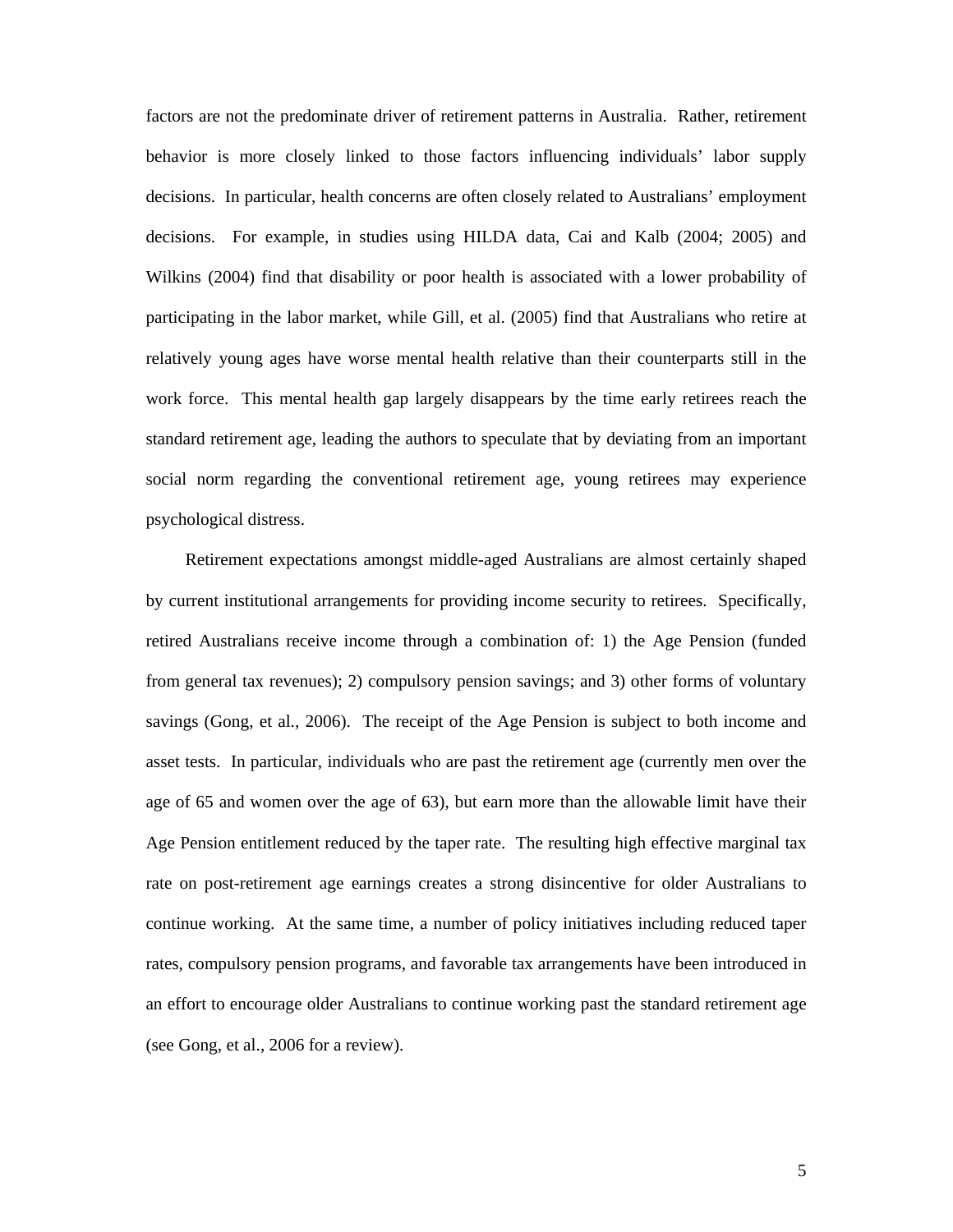factors are not the predominate driver of retirement patterns in Australia. Rather, retirement behavior is more closely linked to those factors influencing individuals' labor supply decisions. In particular, health concerns are often closely related to Australians' employment decisions. For example, in studies using HILDA data, Cai and Kalb (2004; 2005) and Wilkins (2004) find that disability or poor health is associated with a lower probability of participating in the labor market, while Gill, et al. (2005) find that Australians who retire at relatively young ages have worse mental health relative than their counterparts still in the work force. This mental health gap largely disappears by the time early retirees reach the standard retirement age, leading the authors to speculate that by deviating from an important social norm regarding the conventional retirement age, young retirees may experience psychological distress.

Retirement expectations amongst middle-aged Australians are almost certainly shaped by current institutional arrangements for providing income security to retirees. Specifically, retired Australians receive income through a combination of: 1) the Age Pension (funded from general tax revenues); 2) compulsory pension savings; and 3) other forms of voluntary savings (Gong, et al., 2006). The receipt of the Age Pension is subject to both income and asset tests. In particular, individuals who are past the retirement age (currently men over the age of 65 and women over the age of 63), but earn more than the allowable limit have their Age Pension entitlement reduced by the taper rate. The resulting high effective marginal tax rate on post-retirement age earnings creates a strong disincentive for older Australians to continue working. At the same time, a number of policy initiatives including reduced taper rates, compulsory pension programs, and favorable tax arrangements have been introduced in an effort to encourage older Australians to continue working past the standard retirement age (see Gong, et al., 2006 for a review).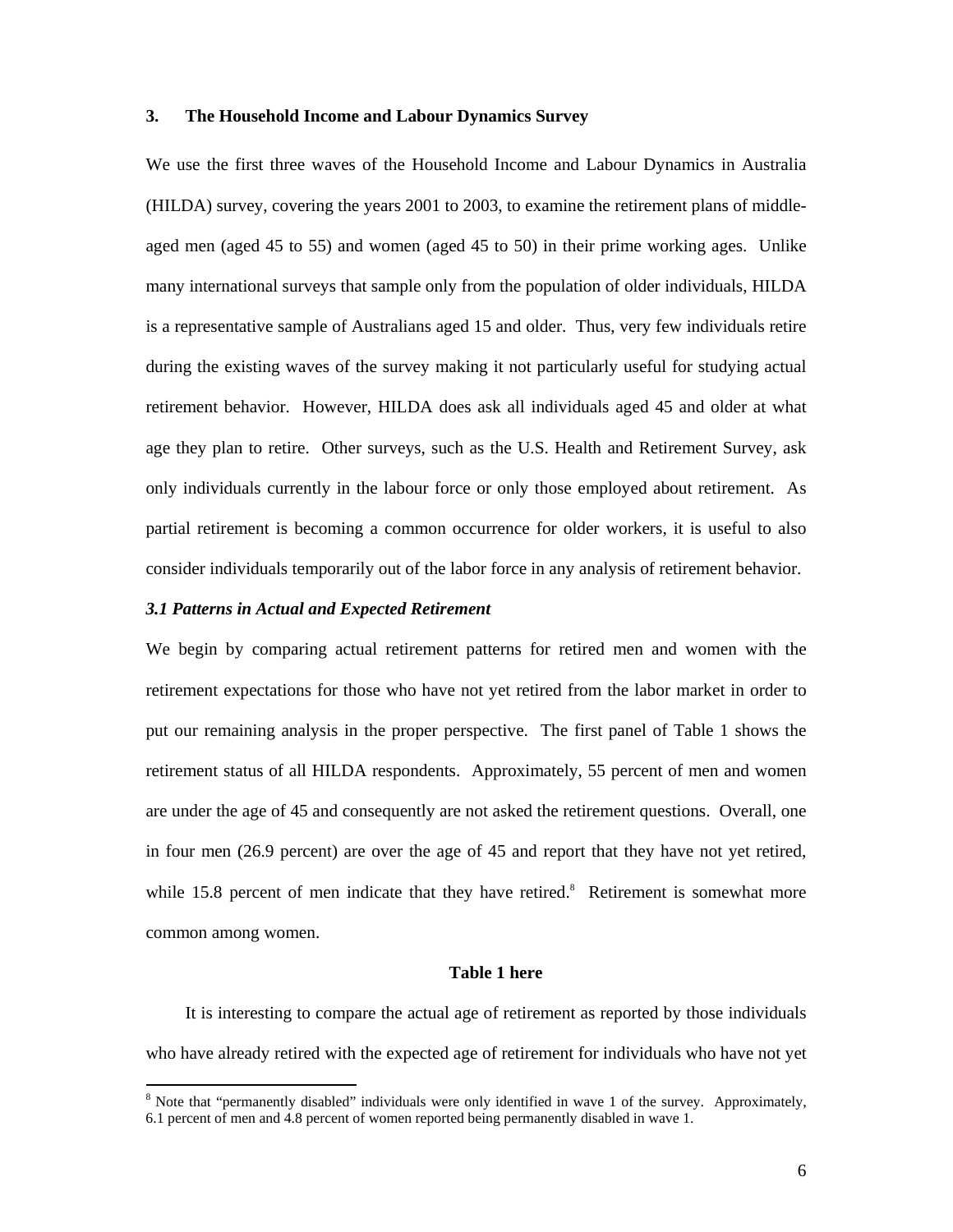#### **3. The Household Income and Labour Dynamics Survey**

We use the first three waves of the Household Income and Labour Dynamics in Australia (HILDA) survey, covering the years 2001 to 2003, to examine the retirement plans of middleaged men (aged 45 to 55) and women (aged 45 to 50) in their prime working ages. Unlike many international surveys that sample only from the population of older individuals, HILDA is a representative sample of Australians aged 15 and older. Thus, very few individuals retire during the existing waves of the survey making it not particularly useful for studying actual retirement behavior. However, HILDA does ask all individuals aged 45 and older at what age they plan to retire. Other surveys, such as the U.S. Health and Retirement Survey, ask only individuals currently in the labour force or only those employed about retirement. As partial retirement is becoming a common occurrence for older workers, it is useful to also consider individuals temporarily out of the labor force in any analysis of retirement behavior.

#### *3.1 Patterns in Actual and Expected Retirement*

-

We begin by comparing actual retirement patterns for retired men and women with the retirement expectations for those who have not yet retired from the labor market in order to put our remaining analysis in the proper perspective. The first panel of Table 1 shows the retirement status of all HILDA respondents. Approximately, 55 percent of men and women are under the age of 45 and consequently are not asked the retirement questions. Overall, one in four men (26.9 percent) are over the age of 45 and report that they have not yet retired, while  $15.8$  percent of men indicate that they have retired.<sup>8</sup> Retirement is somewhat more common among women.

#### **Table 1 here**

It is interesting to compare the actual age of retirement as reported by those individuals who have already retired with the expected age of retirement for individuals who have not yet

<sup>&</sup>lt;sup>8</sup> Note that "permanently disabled" individuals were only identified in wave 1 of the survey. Approximately, 6.1 percent of men and 4.8 percent of women reported being permanently disabled in wave 1.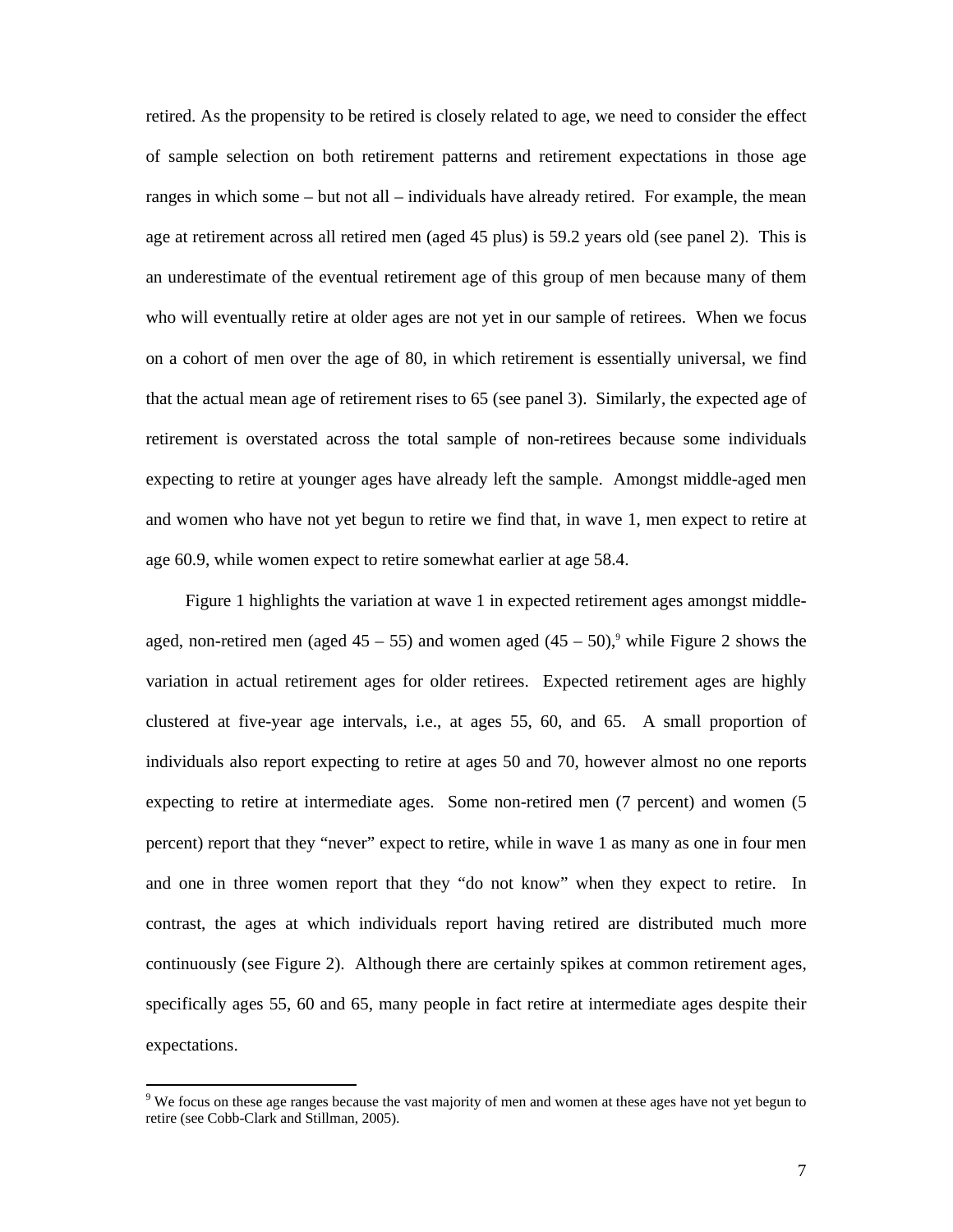retired. As the propensity to be retired is closely related to age, we need to consider the effect of sample selection on both retirement patterns and retirement expectations in those age ranges in which some – but not all – individuals have already retired. For example, the mean age at retirement across all retired men (aged 45 plus) is 59.2 years old (see panel 2). This is an underestimate of the eventual retirement age of this group of men because many of them who will eventually retire at older ages are not yet in our sample of retirees. When we focus on a cohort of men over the age of 80, in which retirement is essentially universal, we find that the actual mean age of retirement rises to 65 (see panel 3). Similarly, the expected age of retirement is overstated across the total sample of non-retirees because some individuals expecting to retire at younger ages have already left the sample. Amongst middle-aged men and women who have not yet begun to retire we find that, in wave 1, men expect to retire at age 60.9, while women expect to retire somewhat earlier at age 58.4.

Figure 1 highlights the variation at wave 1 in expected retirement ages amongst middleaged, non-retired men (aged  $45 - 55$ ) and women aged  $(45 - 50)$ ,<sup>9</sup> while Figure 2 shows the variation in actual retirement ages for older retirees. Expected retirement ages are highly clustered at five-year age intervals, i.e., at ages 55, 60, and 65. A small proportion of individuals also report expecting to retire at ages 50 and 70, however almost no one reports expecting to retire at intermediate ages. Some non-retired men (7 percent) and women (5 percent) report that they "never" expect to retire, while in wave 1 as many as one in four men and one in three women report that they "do not know" when they expect to retire. In contrast, the ages at which individuals report having retired are distributed much more continuously (see Figure 2). Although there are certainly spikes at common retirement ages, specifically ages 55, 60 and 65, many people in fact retire at intermediate ages despite their expectations.

<sup>&</sup>lt;sup>9</sup> We focus on these age ranges because the vast majority of men and women at these ages have not yet begun to retire (see Cobb-Clark and Stillman, 2005).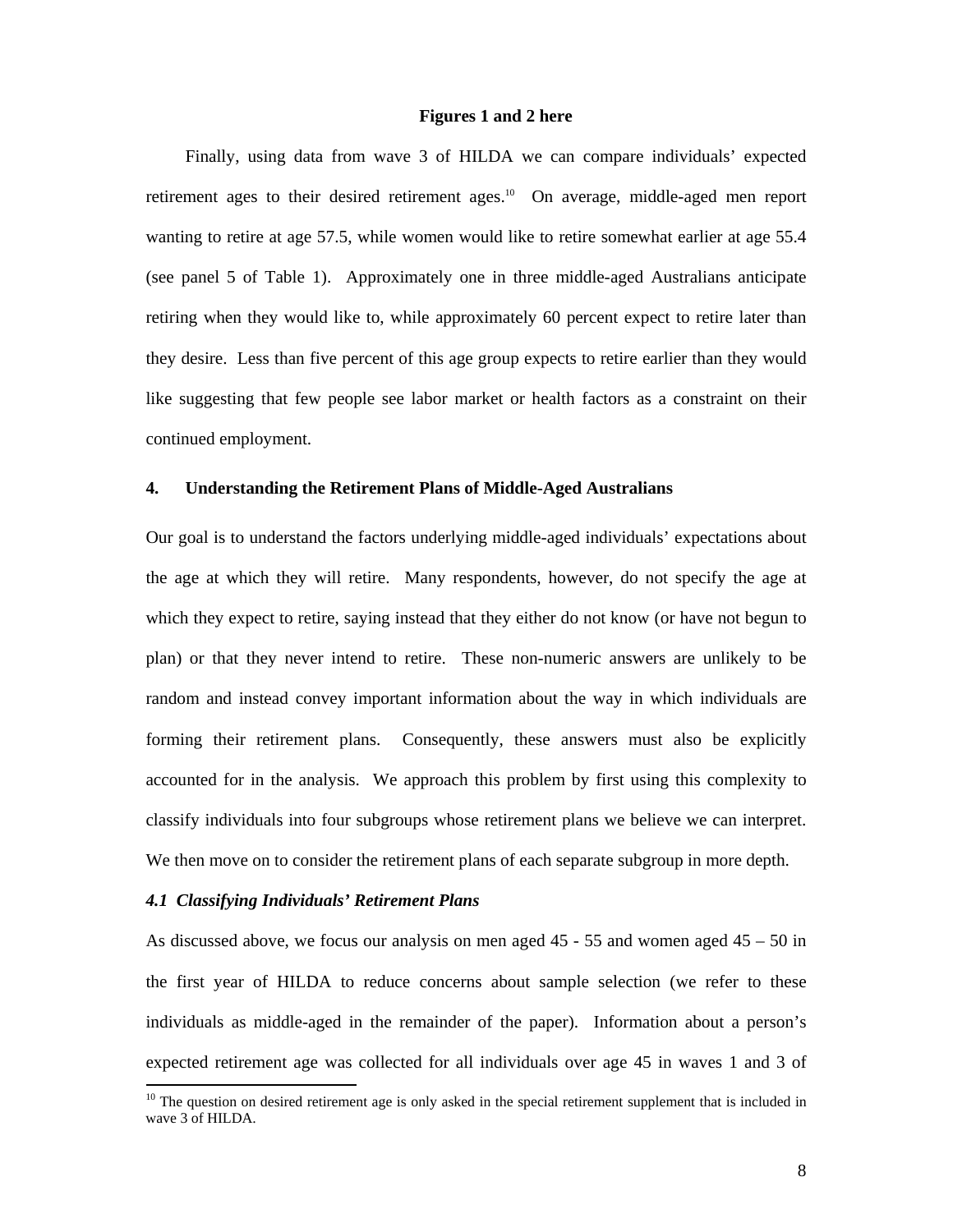#### **Figures 1 and 2 here**

Finally, using data from wave 3 of HILDA we can compare individuals' expected retirement ages to their desired retirement ages.<sup>10</sup> On average, middle-aged men report wanting to retire at age 57.5, while women would like to retire somewhat earlier at age 55.4 (see panel 5 of Table 1). Approximately one in three middle-aged Australians anticipate retiring when they would like to, while approximately 60 percent expect to retire later than they desire. Less than five percent of this age group expects to retire earlier than they would like suggesting that few people see labor market or health factors as a constraint on their continued employment.

#### **4. Understanding the Retirement Plans of Middle-Aged Australians**

Our goal is to understand the factors underlying middle-aged individuals' expectations about the age at which they will retire. Many respondents, however, do not specify the age at which they expect to retire, saying instead that they either do not know (or have not begun to plan) or that they never intend to retire. These non-numeric answers are unlikely to be random and instead convey important information about the way in which individuals are forming their retirement plans.Consequently, these answers must also be explicitly accounted for in the analysis. We approach this problem by first using this complexity to classify individuals into four subgroups whose retirement plans we believe we can interpret. We then move on to consider the retirement plans of each separate subgroup in more depth.

#### *4.1 Classifying Individuals' Retirement Plans*

-

As discussed above, we focus our analysis on men aged 45 - 55 and women aged 45 – 50 in the first year of HILDA to reduce concerns about sample selection (we refer to these individuals as middle-aged in the remainder of the paper). Information about a person's expected retirement age was collected for all individuals over age 45 in waves 1 and 3 of

 $10$  The question on desired retirement age is only asked in the special retirement supplement that is included in wave 3 of HILDA.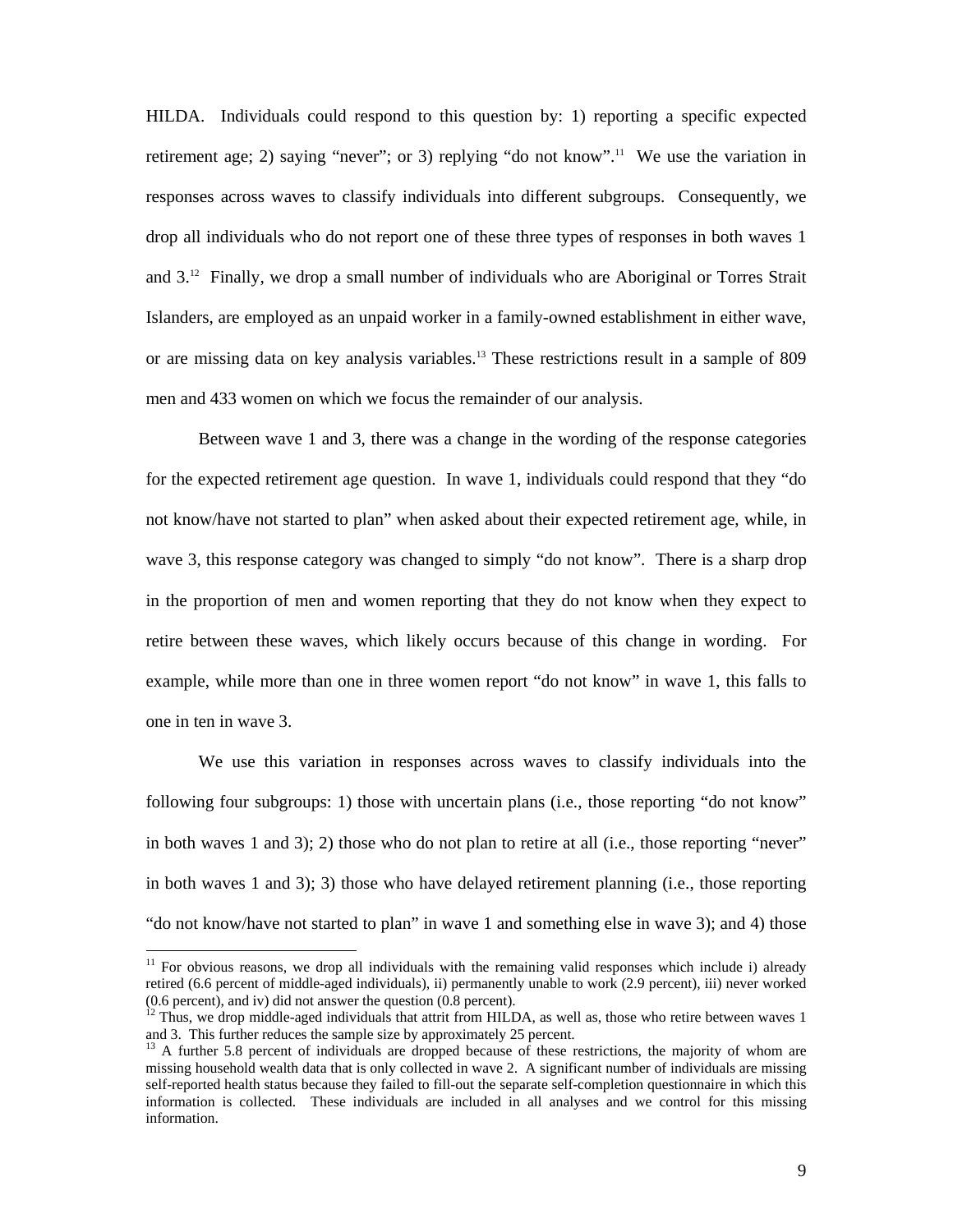HILDA. Individuals could respond to this question by: 1) reporting a specific expected retirement age; 2) saying "never"; or 3) replying "do not know".<sup>11</sup> We use the variation in responses across waves to classify individuals into different subgroups. Consequently, we drop all individuals who do not report one of these three types of responses in both waves 1 and 3.12 Finally, we drop a small number of individuals who are Aboriginal or Torres Strait Islanders, are employed as an unpaid worker in a family-owned establishment in either wave, or are missing data on key analysis variables.13 These restrictions result in a sample of 809 men and 433 women on which we focus the remainder of our analysis.

Between wave 1 and 3, there was a change in the wording of the response categories for the expected retirement age question. In wave 1, individuals could respond that they "do not know/have not started to plan" when asked about their expected retirement age, while, in wave 3, this response category was changed to simply "do not know". There is a sharp drop in the proportion of men and women reporting that they do not know when they expect to retire between these waves, which likely occurs because of this change in wording. For example, while more than one in three women report "do not know" in wave 1, this falls to one in ten in wave 3.

We use this variation in responses across waves to classify individuals into the following four subgroups: 1) those with uncertain plans (i.e., those reporting "do not know" in both waves 1 and 3); 2) those who do not plan to retire at all (i.e., those reporting "never" in both waves 1 and 3); 3) those who have delayed retirement planning (i.e., those reporting "do not know/have not started to plan" in wave 1 and something else in wave 3); and 4) those

 $11$  For obvious reasons, we drop all individuals with the remaining valid responses which include i) already retired (6.6 percent of middle-aged individuals), ii) permanently unable to work (2.9 percent), iii) never worked (0.6 percent), and iv) did not answer the question (0.8 percent).

 $12$  Thus, we drop middle-aged individuals that attrit from HILDA, as well as, those who retire between waves 1 and 3. This further reduces the sample size by approximately 25 percent.

<sup>&</sup>lt;sup>13</sup> A further 5.8 percent of individuals are dropped because of these restrictions, the majority of whom are missing household wealth data that is only collected in wave 2. A significant number of individuals are missing self-reported health status because they failed to fill-out the separate self-completion questionnaire in which this information is collected. These individuals are included in all analyses and we control for this missing information.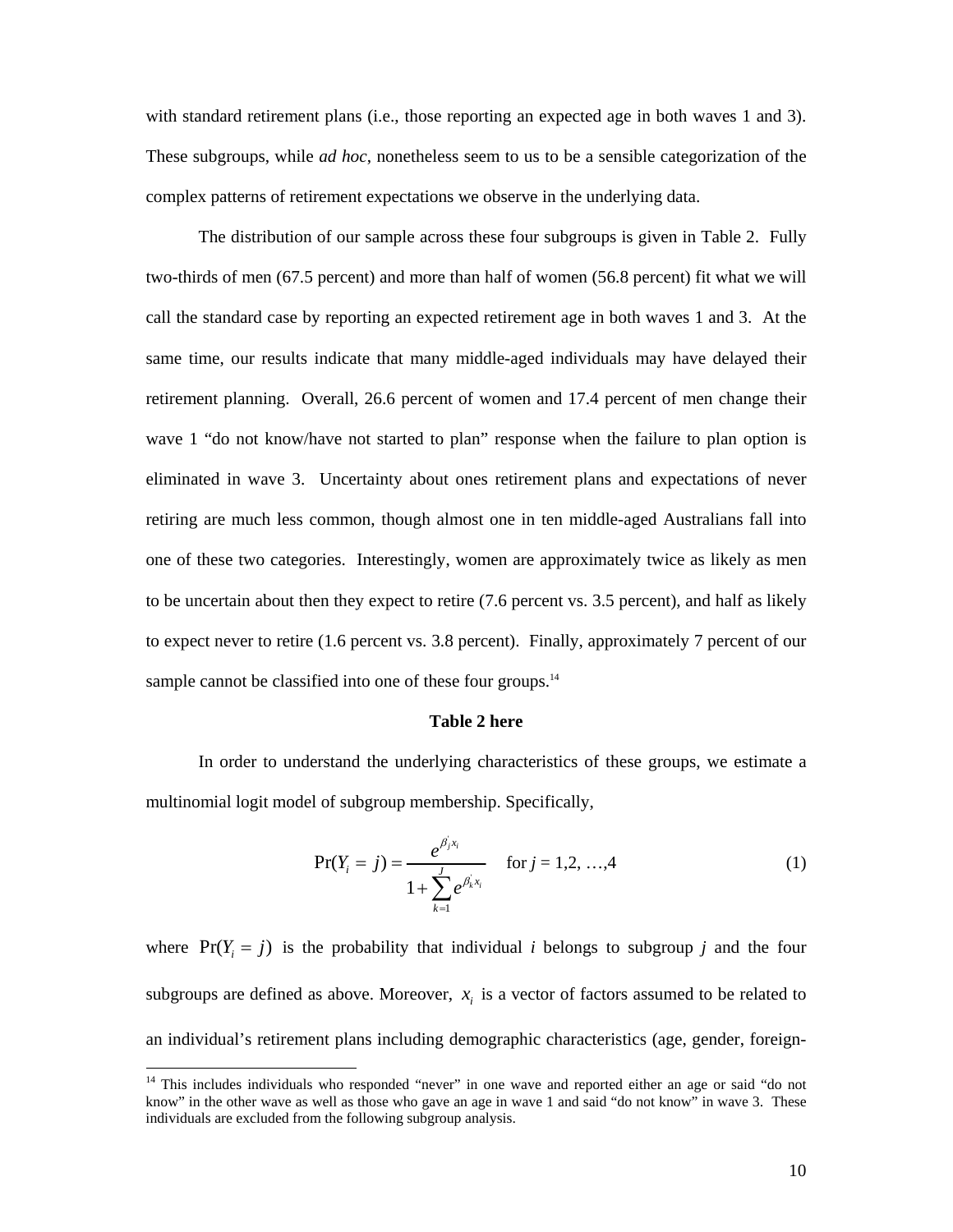with standard retirement plans (i.e., those reporting an expected age in both waves 1 and 3). These subgroups, while *ad hoc*, nonetheless seem to us to be a sensible categorization of the complex patterns of retirement expectations we observe in the underlying data.

The distribution of our sample across these four subgroups is given in Table 2. Fully two-thirds of men (67.5 percent) and more than half of women (56.8 percent) fit what we will call the standard case by reporting an expected retirement age in both waves 1 and 3. At the same time, our results indicate that many middle-aged individuals may have delayed their retirement planning. Overall, 26.6 percent of women and 17.4 percent of men change their wave 1 "do not know/have not started to plan" response when the failure to plan option is eliminated in wave 3. Uncertainty about ones retirement plans and expectations of never retiring are much less common, though almost one in ten middle-aged Australians fall into one of these two categories. Interestingly, women are approximately twice as likely as men to be uncertain about then they expect to retire (7.6 percent vs. 3.5 percent), and half as likely to expect never to retire (1.6 percent vs. 3.8 percent). Finally, approximately 7 percent of our sample cannot be classified into one of these four groups.<sup>14</sup>

#### **Table 2 here**

 In order to understand the underlying characteristics of these groups, we estimate a multinomial logit model of subgroup membership. Specifically,

$$
\Pr(Y_i = j) = \frac{e^{\beta_j x_i}}{1 + \sum_{k=1}^{j} e^{\beta_k x_i}} \quad \text{for } j = 1, 2, ..., 4
$$
 (1)

where  $Pr(Y = i)$  is the probability that individual *i* belongs to subgroup *j* and the four subgroups are defined as above. Moreover,  $x_i$  is a vector of factors assumed to be related to an individual's retirement plans including demographic characteristics (age, gender, foreign-

<sup>&</sup>lt;sup>14</sup> This includes individuals who responded "never" in one wave and reported either an age or said "do not know" in the other wave as well as those who gave an age in wave 1 and said "do not know" in wave 3. These individuals are excluded from the following subgroup analysis.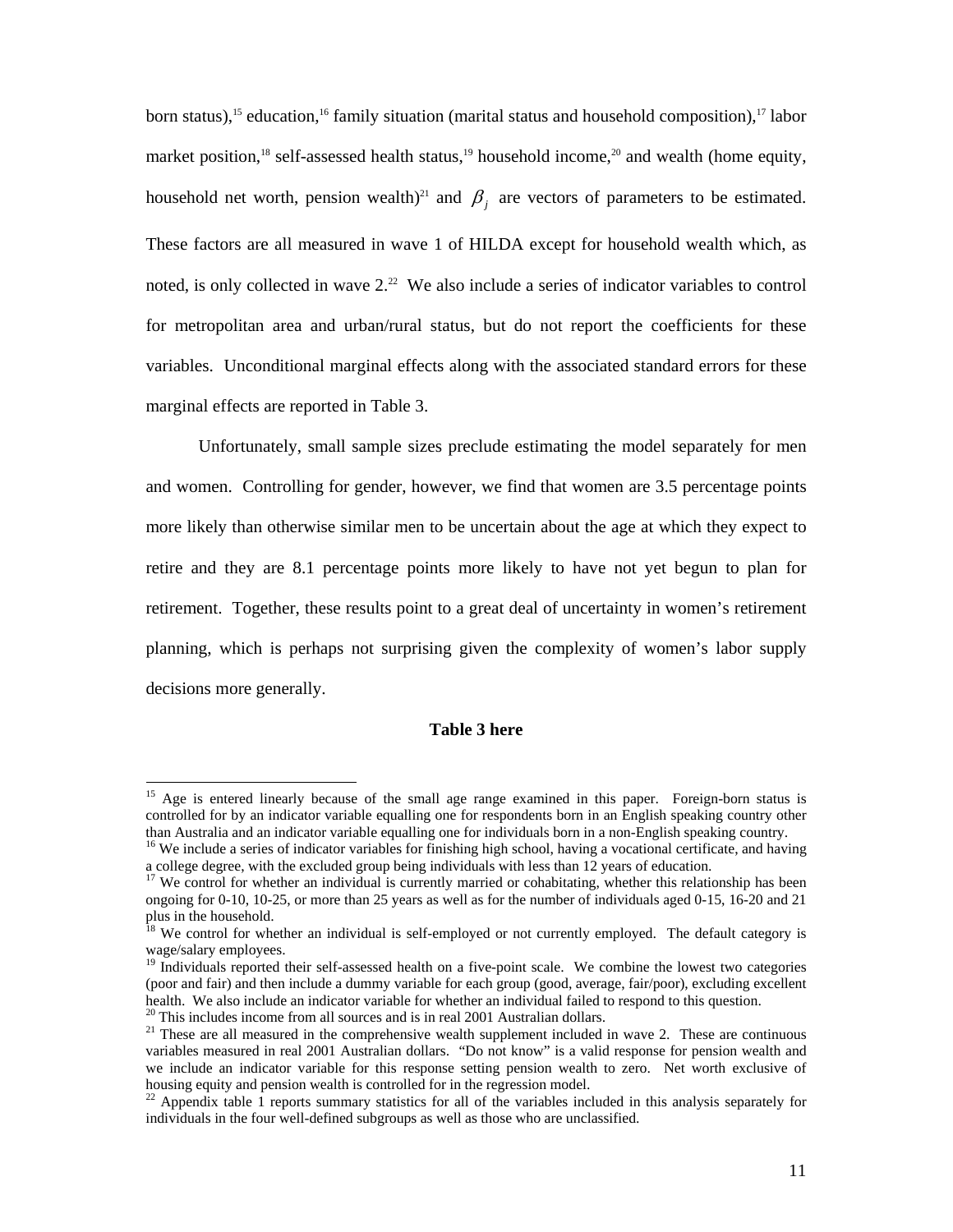born status),<sup>15</sup> education,<sup>16</sup> family situation (marital status and household composition),<sup>17</sup> labor market position,<sup>18</sup> self-assessed health status,<sup>19</sup> household income,<sup>20</sup> and wealth (home equity, household net worth, pension wealth)<sup>21</sup> and  $\beta_i$  are vectors of parameters to be estimated. These factors are all measured in wave 1 of HILDA except for household wealth which, as noted, is only collected in wave  $2<sup>22</sup>$  We also include a series of indicator variables to control for metropolitan area and urban/rural status, but do not report the coefficients for these variables. Unconditional marginal effects along with the associated standard errors for these marginal effects are reported in Table 3.

Unfortunately, small sample sizes preclude estimating the model separately for men and women. Controlling for gender, however, we find that women are 3.5 percentage points more likely than otherwise similar men to be uncertain about the age at which they expect to retire and they are 8.1 percentage points more likely to have not yet begun to plan for retirement. Together, these results point to a great deal of uncertainty in women's retirement planning, which is perhaps not surprising given the complexity of women's labor supply decisions more generally.

#### **Table 3 here**

<sup>&</sup>lt;sup>15</sup> Age is entered linearly because of the small age range examined in this paper. Foreign-born status is controlled for by an indicator variable equalling one for respondents born in an English speaking country other than Australia and an indicator variable equalling one for individuals born in a non-English speaking country.

<sup>&</sup>lt;sup>16</sup> We include a series of indicator variables for finishing high school, having a vocational certificate, and having a college degree, with the excluded group being individuals with less than 12 years of education.

<sup>&</sup>lt;sup>17</sup> We control for whether an individual is currently married or cohabitating, whether this relationship has been ongoing for 0-10, 10-25, or more than 25 years as well as for the number of individuals aged 0-15, 16-20 and 21 plus in the household.

<sup>&</sup>lt;sup>18</sup> We control for whether an individual is self-employed or not currently employed. The default category is wage/salary employees.

<sup>&</sup>lt;sup>19</sup> Individuals reported their self-assessed health on a five-point scale. We combine the lowest two categories (poor and fair) and then include a dummy variable for each group (good, average, fair/poor), excluding excellent health. We also include an indicator variable for whether an individual failed to respond to this question.  $20$ <sup>20</sup> This includes income from all sources and is in real 2001 Australian dollars.

 $21$  These are all measured in the comprehensive wealth supplement included in wave 2. These are continuous variables measured in real 2001 Australian dollars. "Do not know" is a valid response for pension wealth and we include an indicator variable for this response setting pension wealth to zero. Net worth exclusive of housing equity and pension wealth is controlled for in the regression model.

 $22$  Appendix table 1 reports summary statistics for all of the variables included in this analysis separately for individuals in the four well-defined subgroups as well as those who are unclassified.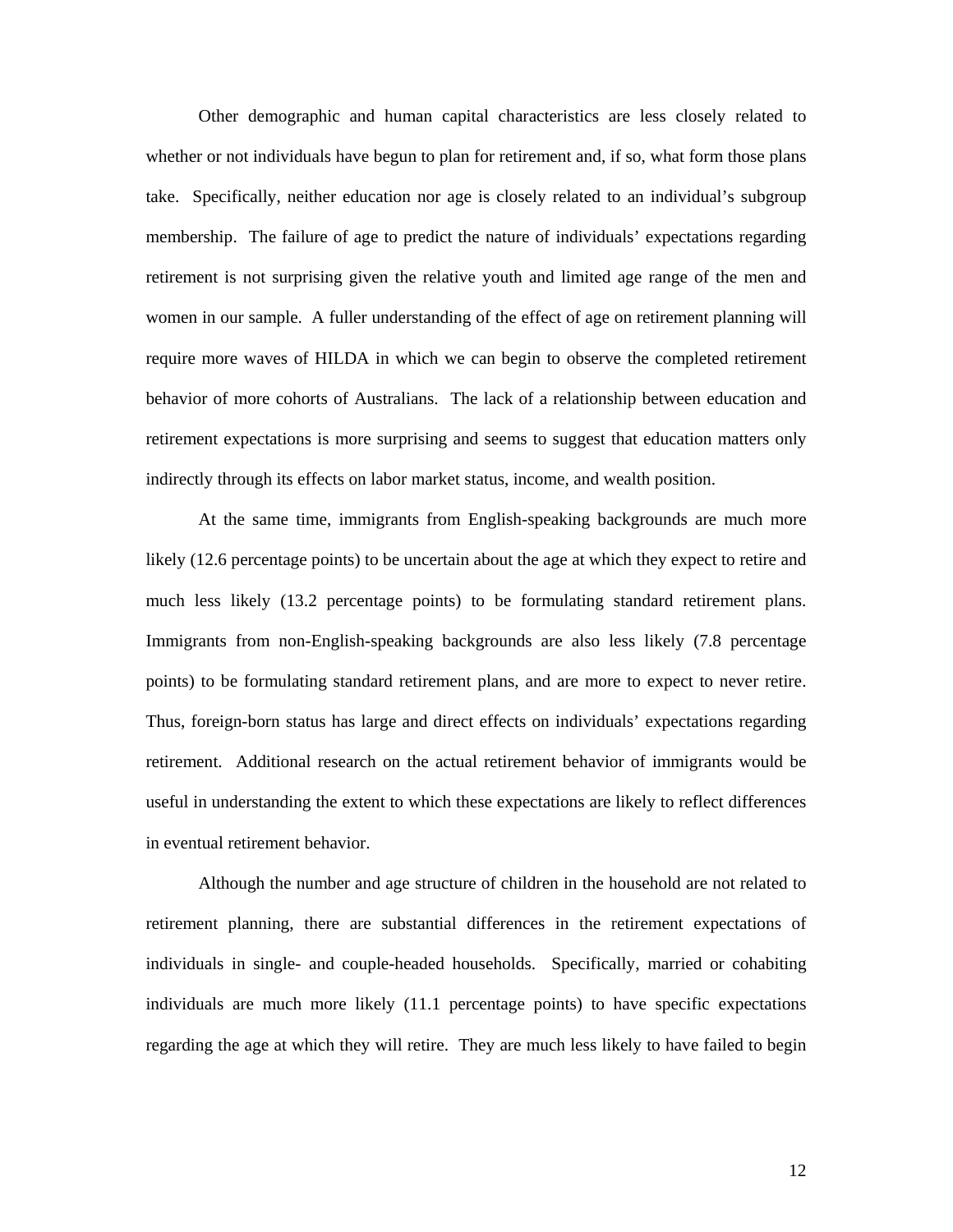Other demographic and human capital characteristics are less closely related to whether or not individuals have begun to plan for retirement and, if so, what form those plans take. Specifically, neither education nor age is closely related to an individual's subgroup membership. The failure of age to predict the nature of individuals' expectations regarding retirement is not surprising given the relative youth and limited age range of the men and women in our sample. A fuller understanding of the effect of age on retirement planning will require more waves of HILDA in which we can begin to observe the completed retirement behavior of more cohorts of Australians. The lack of a relationship between education and retirement expectations is more surprising and seems to suggest that education matters only indirectly through its effects on labor market status, income, and wealth position.

 At the same time, immigrants from English-speaking backgrounds are much more likely (12.6 percentage points) to be uncertain about the age at which they expect to retire and much less likely (13.2 percentage points) to be formulating standard retirement plans. Immigrants from non-English-speaking backgrounds are also less likely (7.8 percentage points) to be formulating standard retirement plans, and are more to expect to never retire. Thus, foreign-born status has large and direct effects on individuals' expectations regarding retirement. Additional research on the actual retirement behavior of immigrants would be useful in understanding the extent to which these expectations are likely to reflect differences in eventual retirement behavior.

 Although the number and age structure of children in the household are not related to retirement planning, there are substantial differences in the retirement expectations of individuals in single- and couple-headed households. Specifically, married or cohabiting individuals are much more likely (11.1 percentage points) to have specific expectations regarding the age at which they will retire. They are much less likely to have failed to begin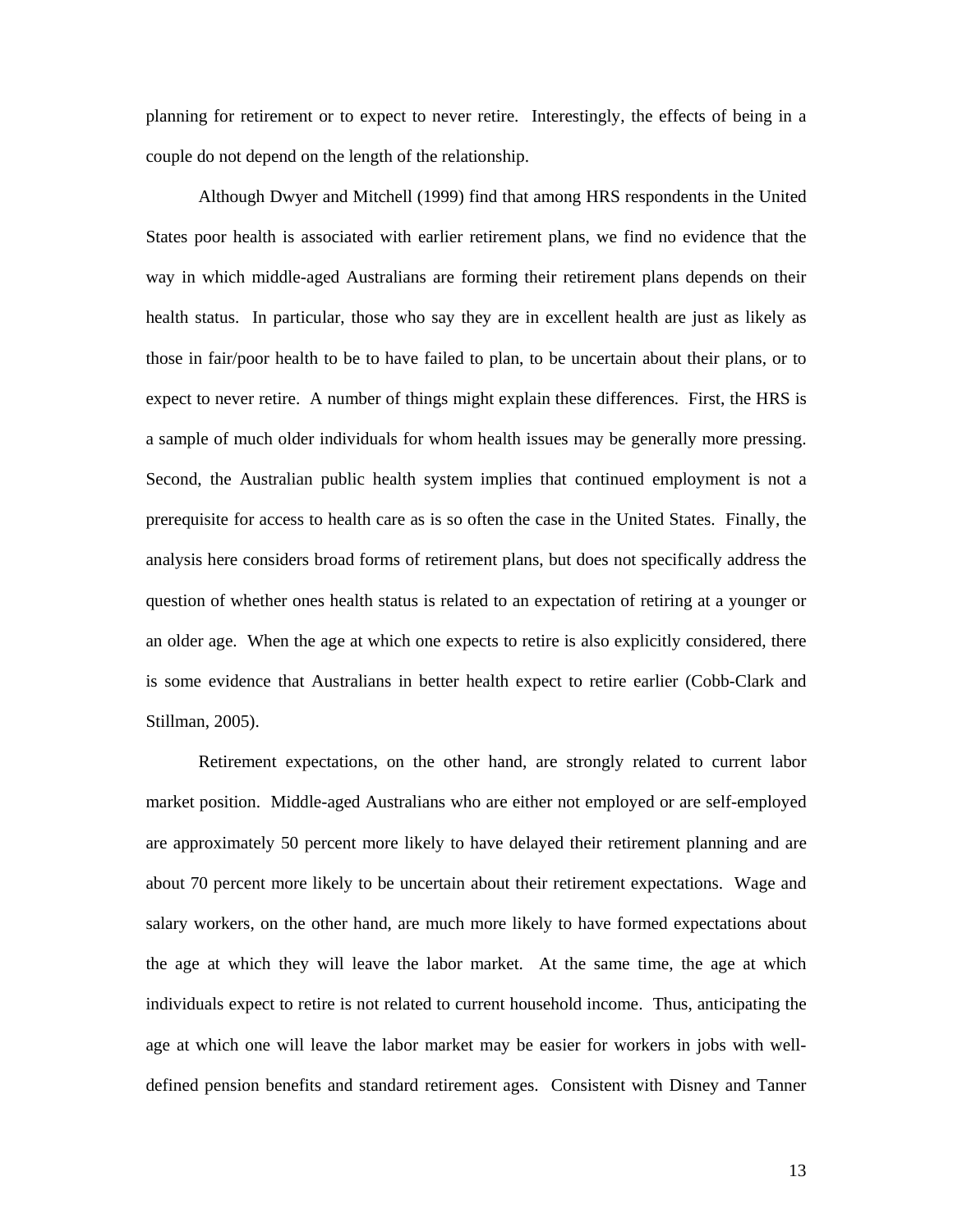planning for retirement or to expect to never retire. Interestingly, the effects of being in a couple do not depend on the length of the relationship.

 Although Dwyer and Mitchell (1999) find that among HRS respondents in the United States poor health is associated with earlier retirement plans, we find no evidence that the way in which middle-aged Australians are forming their retirement plans depends on their health status. In particular, those who say they are in excellent health are just as likely as those in fair/poor health to be to have failed to plan, to be uncertain about their plans, or to expect to never retire. A number of things might explain these differences. First, the HRS is a sample of much older individuals for whom health issues may be generally more pressing. Second, the Australian public health system implies that continued employment is not a prerequisite for access to health care as is so often the case in the United States. Finally, the analysis here considers broad forms of retirement plans, but does not specifically address the question of whether ones health status is related to an expectation of retiring at a younger or an older age. When the age at which one expects to retire is also explicitly considered, there is some evidence that Australians in better health expect to retire earlier (Cobb-Clark and Stillman, 2005).

 Retirement expectations, on the other hand, are strongly related to current labor market position. Middle-aged Australians who are either not employed or are self-employed are approximately 50 percent more likely to have delayed their retirement planning and are about 70 percent more likely to be uncertain about their retirement expectations. Wage and salary workers, on the other hand, are much more likely to have formed expectations about the age at which they will leave the labor market. At the same time, the age at which individuals expect to retire is not related to current household income. Thus, anticipating the age at which one will leave the labor market may be easier for workers in jobs with welldefined pension benefits and standard retirement ages. Consistent with Disney and Tanner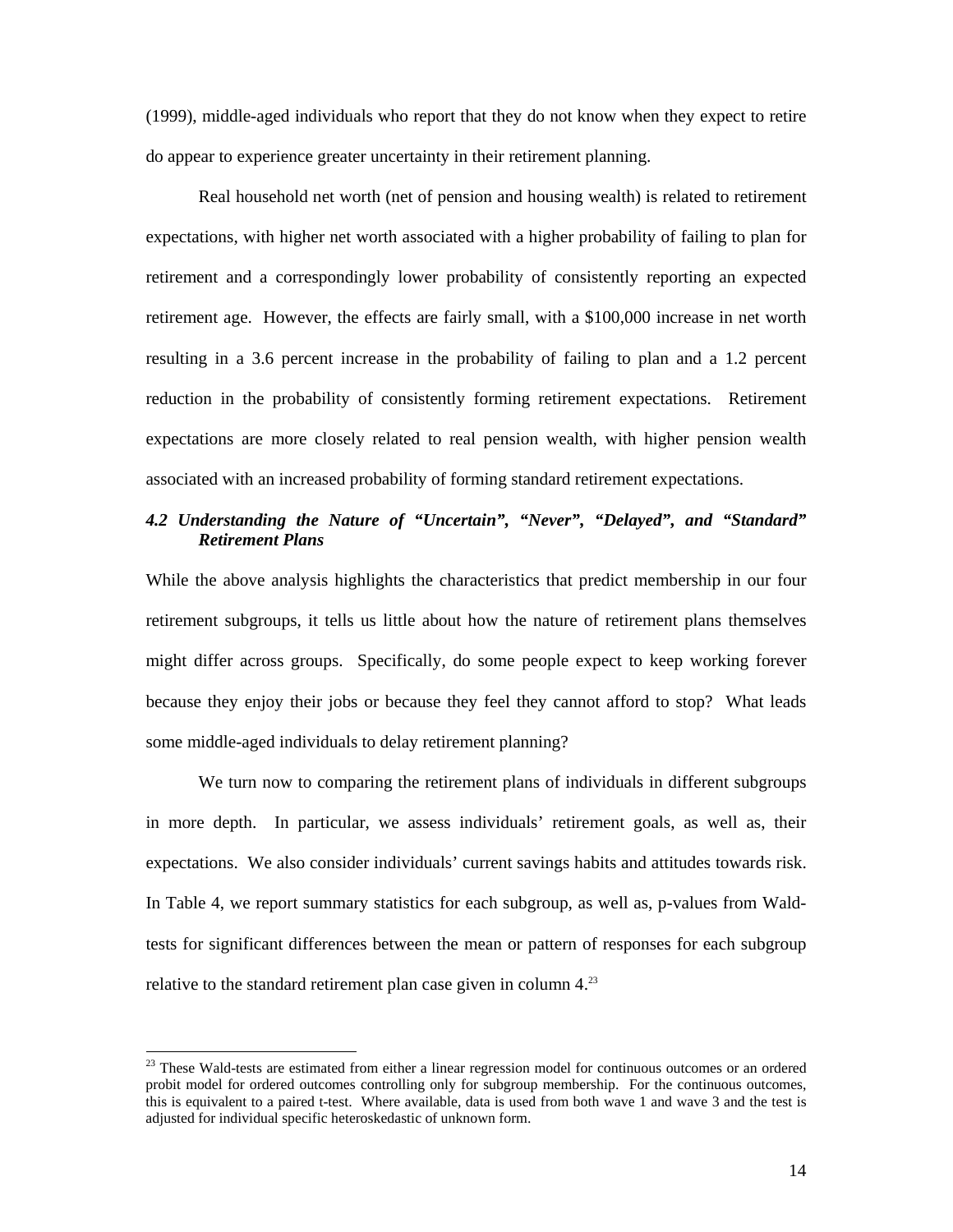(1999), middle-aged individuals who report that they do not know when they expect to retire do appear to experience greater uncertainty in their retirement planning.

 Real household net worth (net of pension and housing wealth) is related to retirement expectations, with higher net worth associated with a higher probability of failing to plan for retirement and a correspondingly lower probability of consistently reporting an expected retirement age. However, the effects are fairly small, with a \$100,000 increase in net worth resulting in a 3.6 percent increase in the probability of failing to plan and a 1.2 percent reduction in the probability of consistently forming retirement expectations. Retirement expectations are more closely related to real pension wealth, with higher pension wealth associated with an increased probability of forming standard retirement expectations.

#### *4.2 Understanding the Nature of "Uncertain", "Never", "Delayed", and "Standard" Retirement Plans*

While the above analysis highlights the characteristics that predict membership in our four retirement subgroups, it tells us little about how the nature of retirement plans themselves might differ across groups. Specifically, do some people expect to keep working forever because they enjoy their jobs or because they feel they cannot afford to stop? What leads some middle-aged individuals to delay retirement planning?

 We turn now to comparing the retirement plans of individuals in different subgroups in more depth. In particular, we assess individuals' retirement goals, as well as, their expectations. We also consider individuals' current savings habits and attitudes towards risk. In Table 4, we report summary statistics for each subgroup, as well as, p-values from Waldtests for significant differences between the mean or pattern of responses for each subgroup relative to the standard retirement plan case given in column 4.<sup>23</sup>

<sup>&</sup>lt;sup>23</sup> These Wald-tests are estimated from either a linear regression model for continuous outcomes or an ordered probit model for ordered outcomes controlling only for subgroup membership. For the continuous outcomes, this is equivalent to a paired t-test. Where available, data is used from both wave 1 and wave 3 and the test is adjusted for individual specific heteroskedastic of unknown form.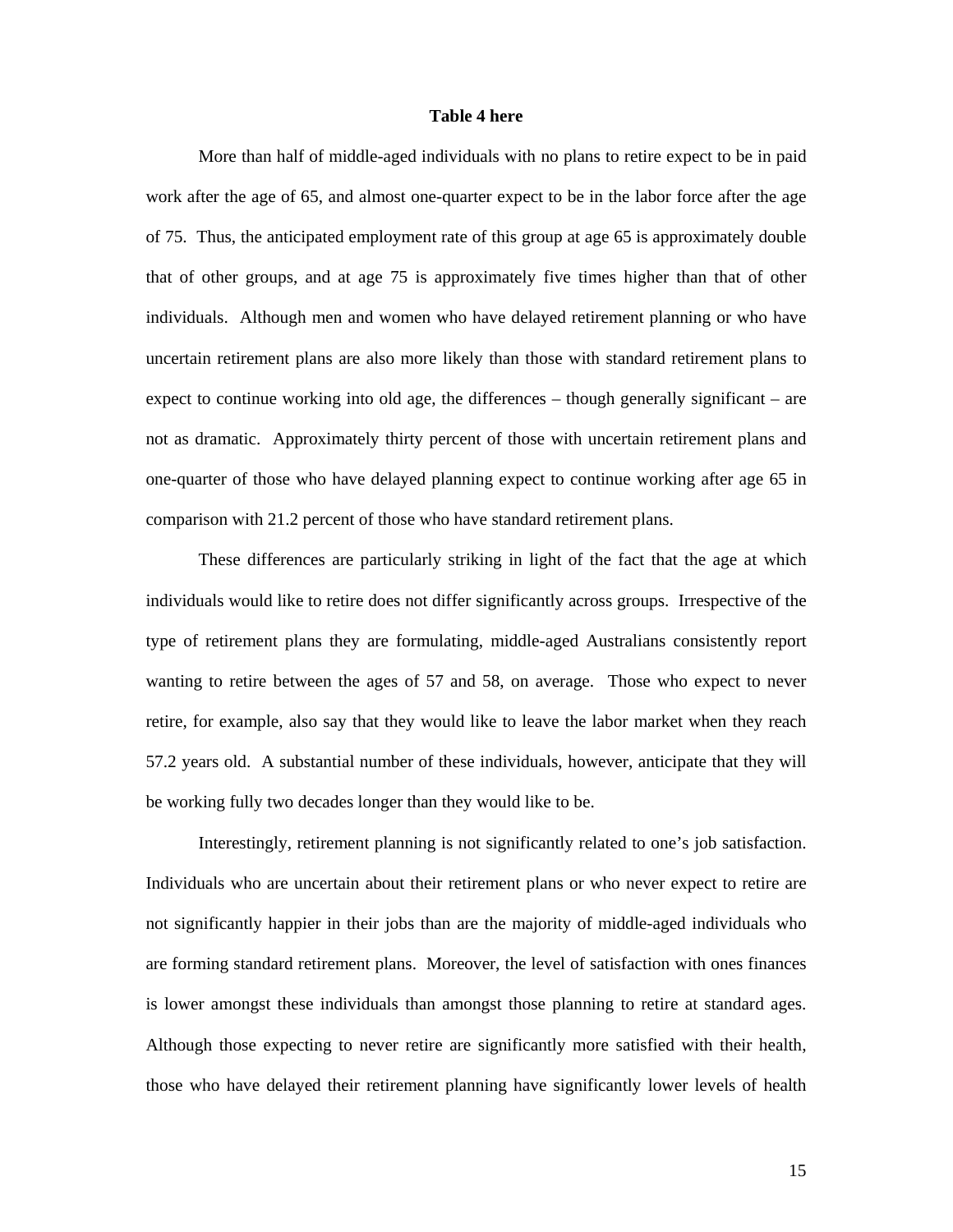#### **Table 4 here**

 More than half of middle-aged individuals with no plans to retire expect to be in paid work after the age of 65, and almost one-quarter expect to be in the labor force after the age of 75. Thus, the anticipated employment rate of this group at age 65 is approximately double that of other groups, and at age 75 is approximately five times higher than that of other individuals. Although men and women who have delayed retirement planning or who have uncertain retirement plans are also more likely than those with standard retirement plans to expect to continue working into old age, the differences – though generally significant – are not as dramatic. Approximately thirty percent of those with uncertain retirement plans and one-quarter of those who have delayed planning expect to continue working after age 65 in comparison with 21.2 percent of those who have standard retirement plans.

 These differences are particularly striking in light of the fact that the age at which individuals would like to retire does not differ significantly across groups. Irrespective of the type of retirement plans they are formulating, middle-aged Australians consistently report wanting to retire between the ages of 57 and 58, on average. Those who expect to never retire, for example, also say that they would like to leave the labor market when they reach 57.2 years old. A substantial number of these individuals, however, anticipate that they will be working fully two decades longer than they would like to be.

 Interestingly, retirement planning is not significantly related to one's job satisfaction. Individuals who are uncertain about their retirement plans or who never expect to retire are not significantly happier in their jobs than are the majority of middle-aged individuals who are forming standard retirement plans. Moreover, the level of satisfaction with ones finances is lower amongst these individuals than amongst those planning to retire at standard ages. Although those expecting to never retire are significantly more satisfied with their health, those who have delayed their retirement planning have significantly lower levels of health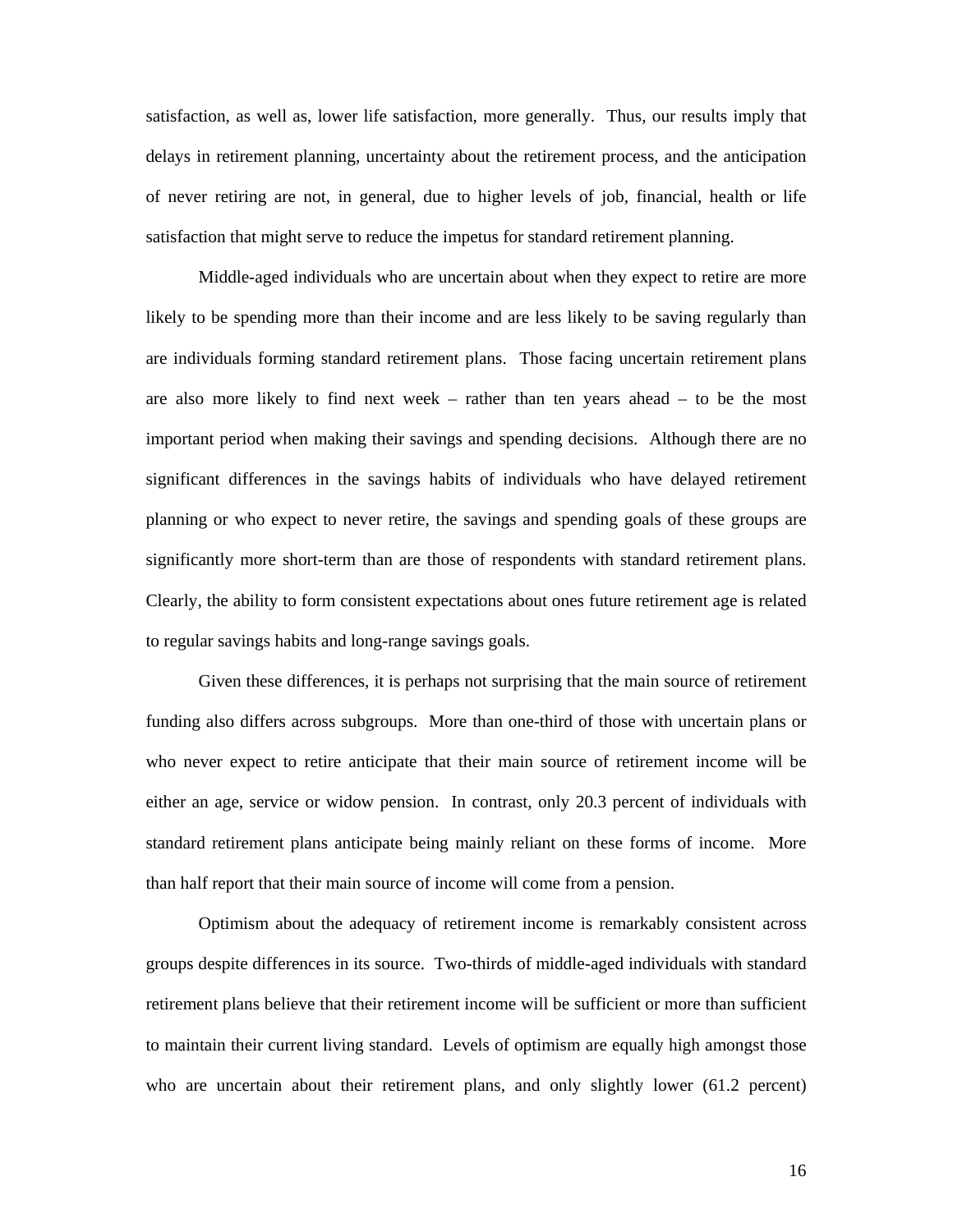satisfaction, as well as, lower life satisfaction, more generally. Thus, our results imply that delays in retirement planning, uncertainty about the retirement process, and the anticipation of never retiring are not, in general, due to higher levels of job, financial, health or life satisfaction that might serve to reduce the impetus for standard retirement planning.

 Middle-aged individuals who are uncertain about when they expect to retire are more likely to be spending more than their income and are less likely to be saving regularly than are individuals forming standard retirement plans. Those facing uncertain retirement plans are also more likely to find next week – rather than ten years ahead – to be the most important period when making their savings and spending decisions. Although there are no significant differences in the savings habits of individuals who have delayed retirement planning or who expect to never retire, the savings and spending goals of these groups are significantly more short-term than are those of respondents with standard retirement plans. Clearly, the ability to form consistent expectations about ones future retirement age is related to regular savings habits and long-range savings goals.

 Given these differences, it is perhaps not surprising that the main source of retirement funding also differs across subgroups. More than one-third of those with uncertain plans or who never expect to retire anticipate that their main source of retirement income will be either an age, service or widow pension. In contrast, only 20.3 percent of individuals with standard retirement plans anticipate being mainly reliant on these forms of income. More than half report that their main source of income will come from a pension.

 Optimism about the adequacy of retirement income is remarkably consistent across groups despite differences in its source. Two-thirds of middle-aged individuals with standard retirement plans believe that their retirement income will be sufficient or more than sufficient to maintain their current living standard. Levels of optimism are equally high amongst those who are uncertain about their retirement plans, and only slightly lower (61.2 percent)

16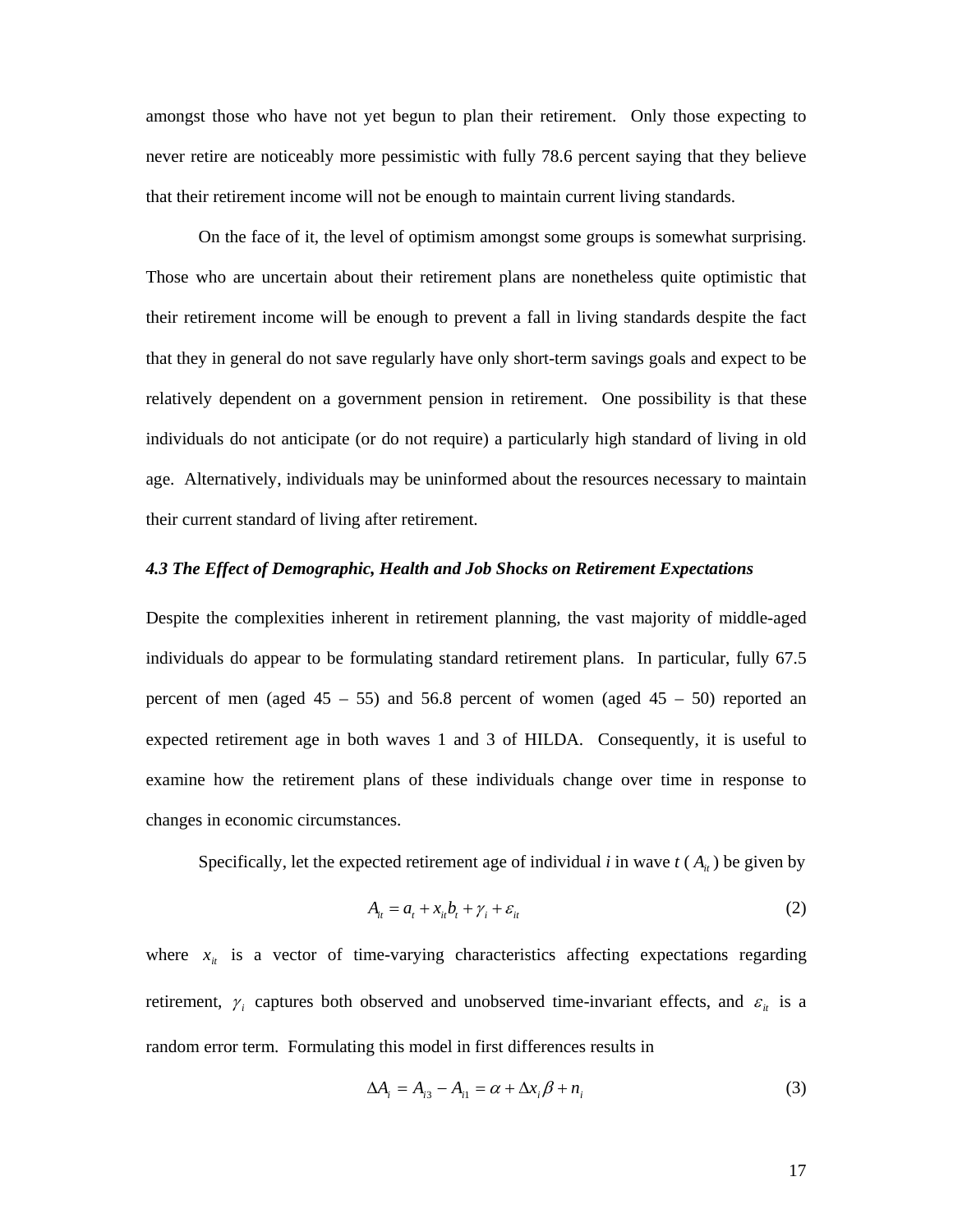amongst those who have not yet begun to plan their retirement. Only those expecting to never retire are noticeably more pessimistic with fully 78.6 percent saying that they believe that their retirement income will not be enough to maintain current living standards.

On the face of it, the level of optimism amongst some groups is somewhat surprising. Those who are uncertain about their retirement plans are nonetheless quite optimistic that their retirement income will be enough to prevent a fall in living standards despite the fact that they in general do not save regularly have only short-term savings goals and expect to be relatively dependent on a government pension in retirement. One possibility is that these individuals do not anticipate (or do not require) a particularly high standard of living in old age. Alternatively, individuals may be uninformed about the resources necessary to maintain their current standard of living after retirement.

#### *4.3 The Effect of Demographic, Health and Job Shocks on Retirement Expectations*

Despite the complexities inherent in retirement planning, the vast majority of middle-aged individuals do appear to be formulating standard retirement plans. In particular, fully 67.5 percent of men (aged  $45 - 55$ ) and  $56.8$  percent of women (aged  $45 - 50$ ) reported an expected retirement age in both waves 1 and 3 of HILDA. Consequently, it is useful to examine how the retirement plans of these individuals change over time in response to changes in economic circumstances.

Specifically, let the expected retirement age of individual *i* in wave  $t(A_i)$  be given by

$$
A_{it} = a_t + x_{it}b_t + \gamma_i + \varepsilon_{it} \tag{2}
$$

where  $x_{it}$  is a vector of time-varying characteristics affecting expectations regarding retirement,  $\gamma_i$  captures both observed and unobserved time-invariant effects, and  $\varepsilon_i$  is a random error term. Formulating this model in first differences results in

$$
\Delta A_i = A_{i3} - A_{i1} = \alpha + \Delta x_i \beta + n_i \tag{3}
$$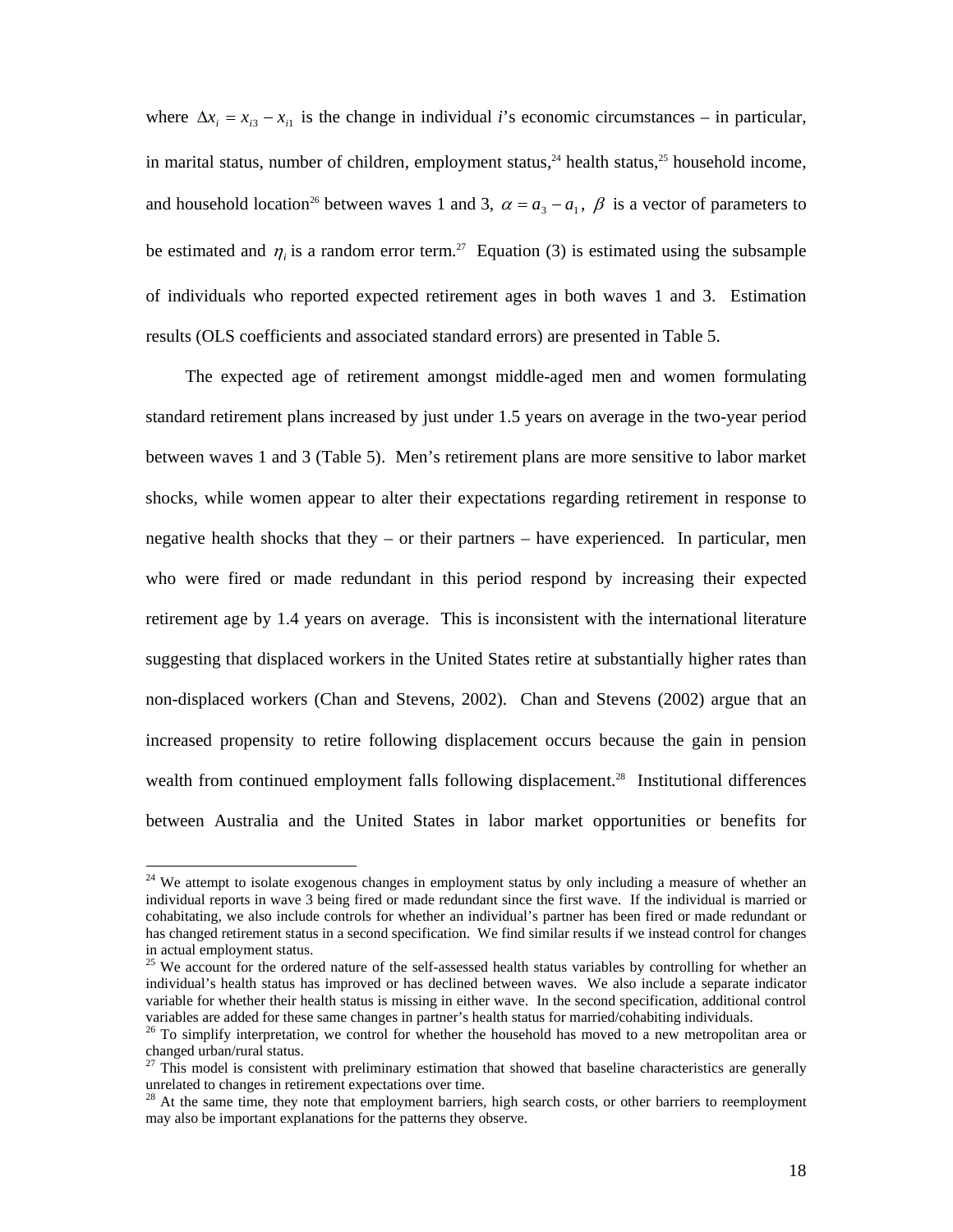where  $\Delta x_i = x_{i3} - x_{i1}$  is the change in individual *i*'s economic circumstances – in particular, in marital status, number of children, employment status,<sup>24</sup> health status,<sup>25</sup> household income, and household location<sup>26</sup> between waves 1 and 3,  $\alpha = a_3 - a_1$ ,  $\beta$  is a vector of parameters to be estimated and  $\eta_i$  is a random error term.<sup>27</sup> Equation (3) is estimated using the subsample of individuals who reported expected retirement ages in both waves 1 and 3. Estimation results (OLS coefficients and associated standard errors) are presented in Table 5.

The expected age of retirement amongst middle-aged men and women formulating standard retirement plans increased by just under 1.5 years on average in the two-year period between waves 1 and 3 (Table 5). Men's retirement plans are more sensitive to labor market shocks, while women appear to alter their expectations regarding retirement in response to negative health shocks that they – or their partners – have experienced. In particular, men who were fired or made redundant in this period respond by increasing their expected retirement age by 1.4 years on average. This is inconsistent with the international literature suggesting that displaced workers in the United States retire at substantially higher rates than non-displaced workers (Chan and Stevens, 2002). Chan and Stevens (2002) argue that an increased propensity to retire following displacement occurs because the gain in pension wealth from continued employment falls following displacement.<sup>28</sup> Institutional differences between Australia and the United States in labor market opportunities or benefits for

 $24$  We attempt to isolate exogenous changes in employment status by only including a measure of whether an individual reports in wave 3 being fired or made redundant since the first wave. If the individual is married or cohabitating, we also include controls for whether an individual's partner has been fired or made redundant or has changed retirement status in a second specification. We find similar results if we instead control for changes in actual employment status.

<sup>&</sup>lt;sup>25</sup> We account for the ordered nature of the self-assessed health status variables by controlling for whether an individual's health status has improved or has declined between waves. We also include a separate indicator variable for whether their health status is missing in either wave. In the second specification, additional control variables are added for these same changes in partner's health status for married/cohabiting individuals.

<sup>&</sup>lt;sup>26</sup> To simplify interpretation, we control for whether the household has moved to a new metropolitan area or changed urban/rural status.

 $27$  This model is consistent with preliminary estimation that showed that baseline characteristics are generally unrelated to changes in retirement expectations over time.

 $2<sup>8</sup>$  At the same time, they note that employment barriers, high search costs, or other barriers to reemployment may also be important explanations for the patterns they observe.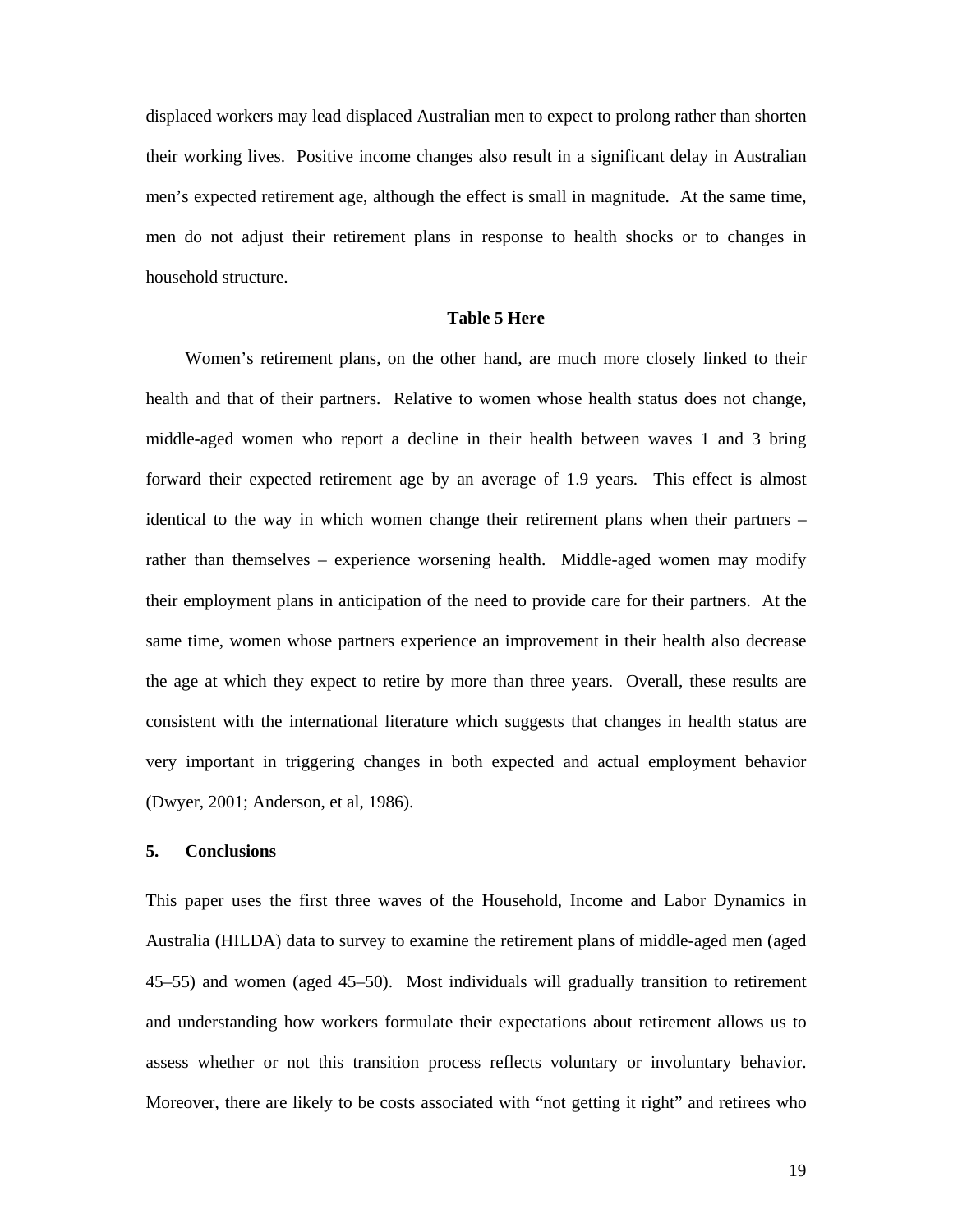displaced workers may lead displaced Australian men to expect to prolong rather than shorten their working lives. Positive income changes also result in a significant delay in Australian men's expected retirement age, although the effect is small in magnitude. At the same time, men do not adjust their retirement plans in response to health shocks or to changes in household structure.

#### **Table 5 Here**

Women's retirement plans, on the other hand, are much more closely linked to their health and that of their partners. Relative to women whose health status does not change, middle-aged women who report a decline in their health between waves 1 and 3 bring forward their expected retirement age by an average of 1.9 years. This effect is almost identical to the way in which women change their retirement plans when their partners – rather than themselves – experience worsening health. Middle-aged women may modify their employment plans in anticipation of the need to provide care for their partners. At the same time, women whose partners experience an improvement in their health also decrease the age at which they expect to retire by more than three years. Overall, these results are consistent with the international literature which suggests that changes in health status are very important in triggering changes in both expected and actual employment behavior (Dwyer, 2001; Anderson, et al, 1986).

#### **5. Conclusions**

This paper uses the first three waves of the Household, Income and Labor Dynamics in Australia (HILDA) data to survey to examine the retirement plans of middle-aged men (aged 45–55) and women (aged 45–50). Most individuals will gradually transition to retirement and understanding how workers formulate their expectations about retirement allows us to assess whether or not this transition process reflects voluntary or involuntary behavior. Moreover, there are likely to be costs associated with "not getting it right" and retirees who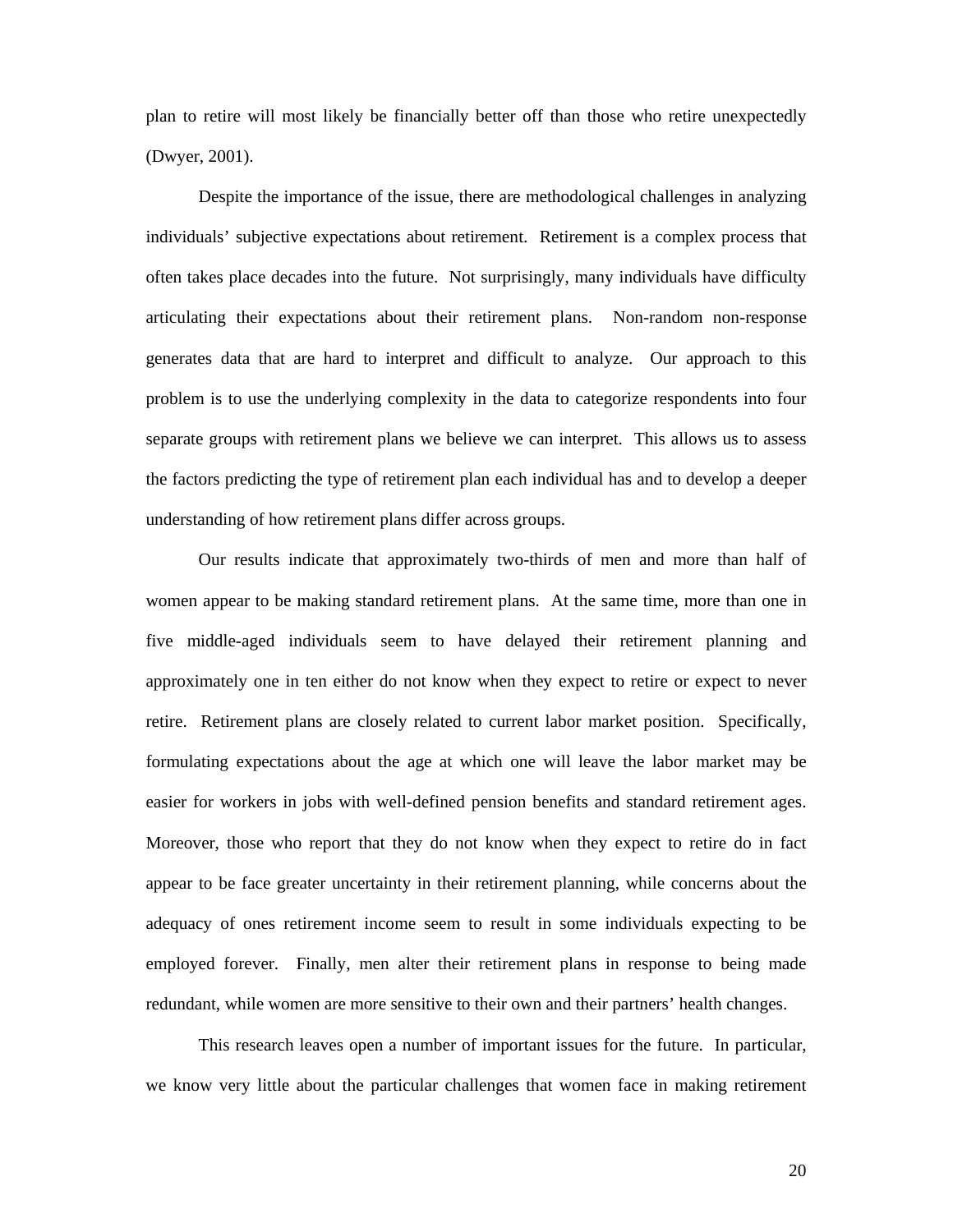plan to retire will most likely be financially better off than those who retire unexpectedly (Dwyer, 2001).

Despite the importance of the issue, there are methodological challenges in analyzing individuals' subjective expectations about retirement. Retirement is a complex process that often takes place decades into the future. Not surprisingly, many individuals have difficulty articulating their expectations about their retirement plans. Non-random non-response generates data that are hard to interpret and difficult to analyze. Our approach to this problem is to use the underlying complexity in the data to categorize respondents into four separate groups with retirement plans we believe we can interpret. This allows us to assess the factors predicting the type of retirement plan each individual has and to develop a deeper understanding of how retirement plans differ across groups.

Our results indicate that approximately two-thirds of men and more than half of women appear to be making standard retirement plans. At the same time, more than one in five middle-aged individuals seem to have delayed their retirement planning and approximately one in ten either do not know when they expect to retire or expect to never retire. Retirement plans are closely related to current labor market position. Specifically, formulating expectations about the age at which one will leave the labor market may be easier for workers in jobs with well-defined pension benefits and standard retirement ages. Moreover, those who report that they do not know when they expect to retire do in fact appear to be face greater uncertainty in their retirement planning, while concerns about the adequacy of ones retirement income seem to result in some individuals expecting to be employed forever. Finally, men alter their retirement plans in response to being made redundant, while women are more sensitive to their own and their partners' health changes.

This research leaves open a number of important issues for the future. In particular, we know very little about the particular challenges that women face in making retirement

20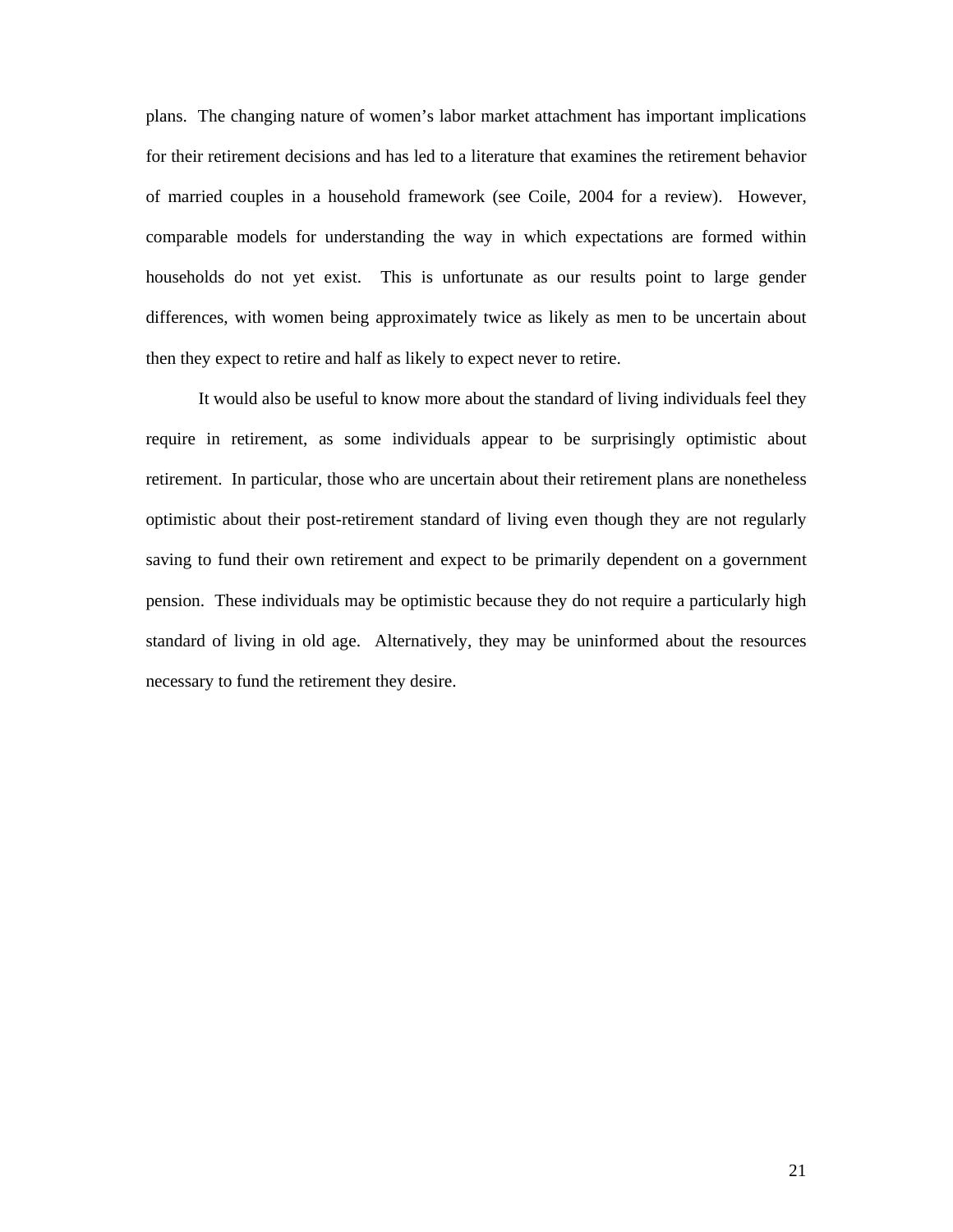plans. The changing nature of women's labor market attachment has important implications for their retirement decisions and has led to a literature that examines the retirement behavior of married couples in a household framework (see Coile, 2004 for a review). However, comparable models for understanding the way in which expectations are formed within households do not yet exist. This is unfortunate as our results point to large gender differences, with women being approximately twice as likely as men to be uncertain about then they expect to retire and half as likely to expect never to retire.

It would also be useful to know more about the standard of living individuals feel they require in retirement, as some individuals appear to be surprisingly optimistic about retirement. In particular, those who are uncertain about their retirement plans are nonetheless optimistic about their post-retirement standard of living even though they are not regularly saving to fund their own retirement and expect to be primarily dependent on a government pension. These individuals may be optimistic because they do not require a particularly high standard of living in old age. Alternatively, they may be uninformed about the resources necessary to fund the retirement they desire.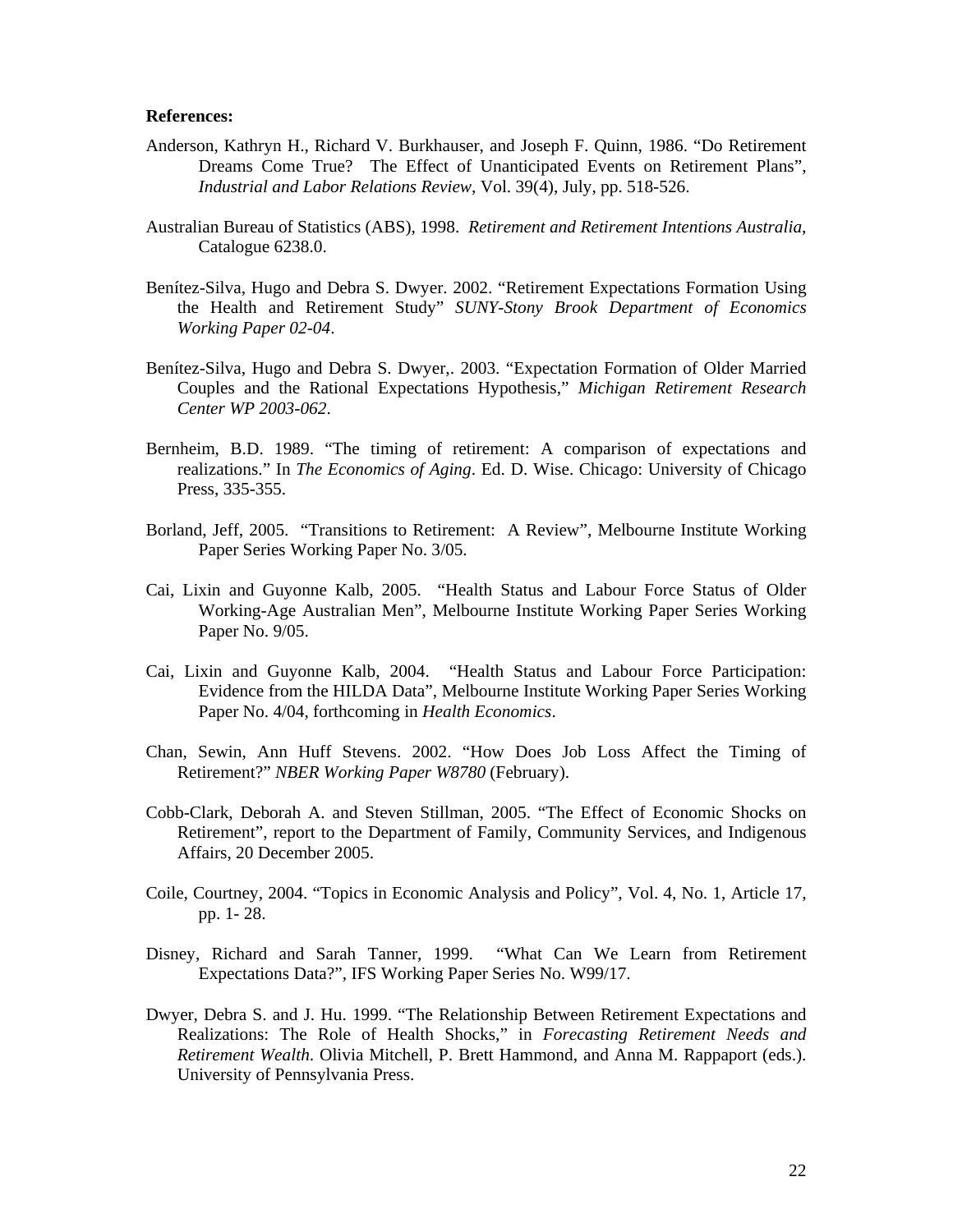#### **References:**

- Anderson, Kathryn H., Richard V. Burkhauser, and Joseph F. Quinn, 1986. "Do Retirement Dreams Come True? The Effect of Unanticipated Events on Retirement Plans", *Industrial and Labor Relations Review*, Vol. 39(4), July, pp. 518-526.
- Australian Bureau of Statistics (ABS), 1998. *Retirement and Retirement Intentions Australia*, Catalogue 6238.0.
- Benítez-Silva, Hugo and Debra S. Dwyer. 2002. "Retirement Expectations Formation Using the Health and Retirement Study" *SUNY-Stony Brook Department of Economics Working Paper 02-04*.
- Benítez-Silva, Hugo and Debra S. Dwyer,. 2003. "Expectation Formation of Older Married Couples and the Rational Expectations Hypothesis," *Michigan Retirement Research Center WP 2003-062*.
- Bernheim, B.D. 1989. "The timing of retirement: A comparison of expectations and realizations." In *The Economics of Aging*. Ed. D. Wise. Chicago: University of Chicago Press, 335-355.
- Borland, Jeff, 2005. "Transitions to Retirement: A Review", Melbourne Institute Working Paper Series Working Paper No. 3/05.
- Cai, Lixin and Guyonne Kalb, 2005. "Health Status and Labour Force Status of Older Working-Age Australian Men", Melbourne Institute Working Paper Series Working Paper No. 9/05.
- Cai, Lixin and Guyonne Kalb, 2004. "Health Status and Labour Force Participation: Evidence from the HILDA Data", Melbourne Institute Working Paper Series Working Paper No. 4/04, forthcoming in *Health Economics*.
- Chan, Sewin, Ann Huff Stevens. 2002. "How Does Job Loss Affect the Timing of Retirement?" *NBER Working Paper W8780* (February).
- Cobb-Clark, Deborah A. and Steven Stillman, 2005. "The Effect of Economic Shocks on Retirement", report to the Department of Family, Community Services, and Indigenous Affairs, 20 December 2005.
- Coile, Courtney, 2004. "Topics in Economic Analysis and Policy", Vol. 4, No. 1, Article 17, pp. 1- 28.
- Disney, Richard and Sarah Tanner, 1999. "What Can We Learn from Retirement Expectations Data?", IFS Working Paper Series No. W99/17.
- Dwyer, Debra S. and J. Hu. 1999. "The Relationship Between Retirement Expectations and Realizations: The Role of Health Shocks," in *Forecasting Retirement Needs and Retirement Wealth*. Olivia Mitchell, P. Brett Hammond, and Anna M. Rappaport (eds.). University of Pennsylvania Press.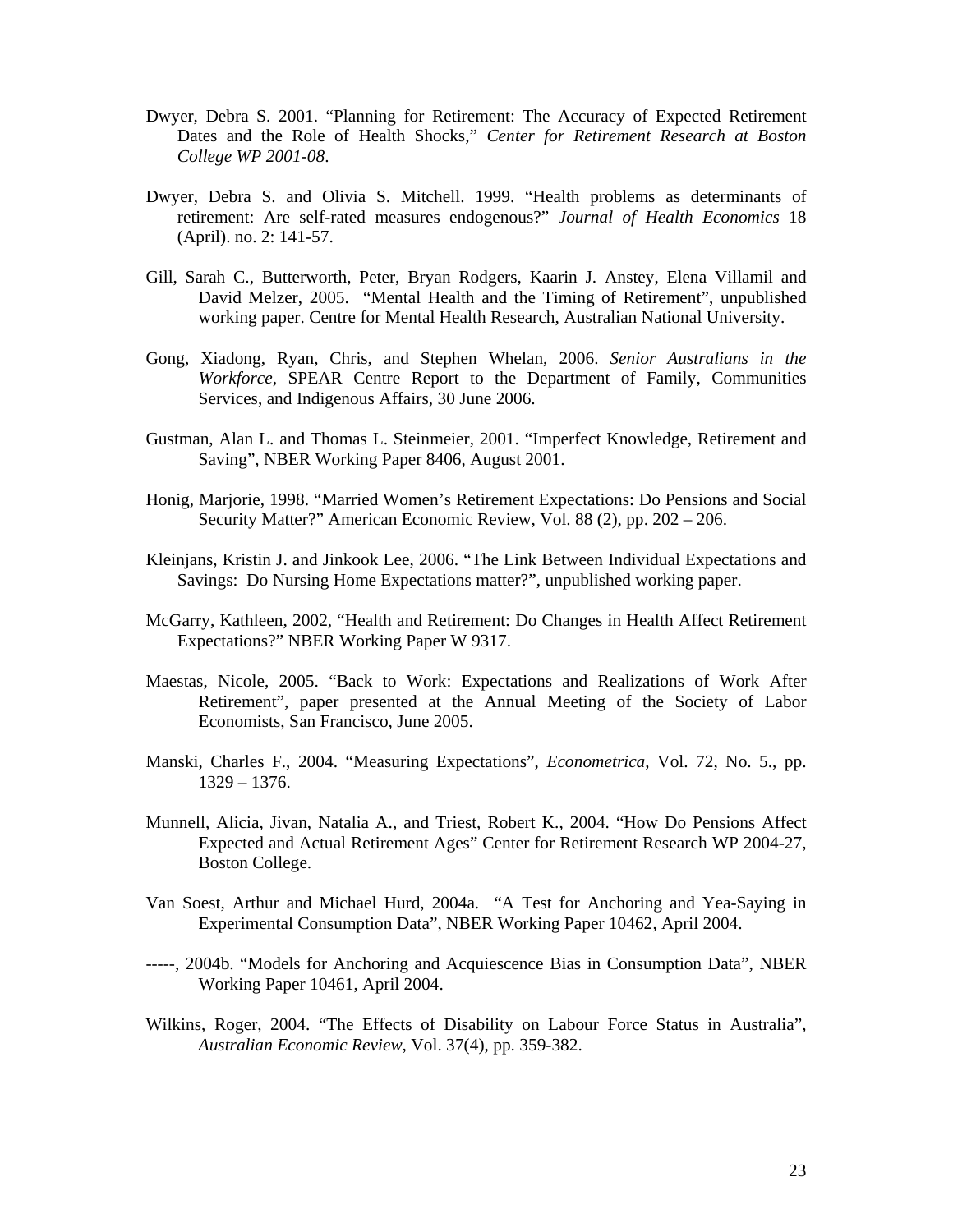- Dwyer, Debra S. 2001. "Planning for Retirement: The Accuracy of Expected Retirement Dates and the Role of Health Shocks," *Center for Retirement Research at Boston College WP 2001-08*.
- Dwyer, Debra S. and Olivia S. Mitchell. 1999. "Health problems as determinants of retirement: Are self-rated measures endogenous?" *Journal of Health Economics* 18 (April). no. 2: 141-57.
- Gill, Sarah C., Butterworth, Peter, Bryan Rodgers, Kaarin J. Anstey, Elena Villamil and David Melzer, 2005. "Mental Health and the Timing of Retirement", unpublished working paper. Centre for Mental Health Research, Australian National University.
- Gong, Xiadong, Ryan, Chris, and Stephen Whelan, 2006. *Senior Australians in the Workforce*, SPEAR Centre Report to the Department of Family, Communities Services, and Indigenous Affairs, 30 June 2006.
- Gustman, Alan L. and Thomas L. Steinmeier, 2001. "Imperfect Knowledge, Retirement and Saving", NBER Working Paper 8406, August 2001.
- Honig, Marjorie, 1998. "Married Women's Retirement Expectations: Do Pensions and Social Security Matter?" American Economic Review, Vol. 88 (2), pp. 202 – 206.
- Kleinjans, Kristin J. and Jinkook Lee, 2006. "The Link Between Individual Expectations and Savings: Do Nursing Home Expectations matter?", unpublished working paper.
- McGarry, Kathleen, 2002, "Health and Retirement: Do Changes in Health Affect Retirement Expectations?" NBER Working Paper W 9317.
- Maestas, Nicole, 2005. "Back to Work: Expectations and Realizations of Work After Retirement", paper presented at the Annual Meeting of the Society of Labor Economists, San Francisco, June 2005.
- Manski, Charles F., 2004. "Measuring Expectations", *Econometrica*, Vol. 72, No. 5., pp. 1329 – 1376.
- Munnell, Alicia, Jivan, Natalia A., and Triest, Robert K., 2004. "How Do Pensions Affect Expected and Actual Retirement Ages" Center for Retirement Research WP 2004-27, Boston College.
- Van Soest, Arthur and Michael Hurd, 2004a. "A Test for Anchoring and Yea-Saying in Experimental Consumption Data", NBER Working Paper 10462, April 2004.
- -----, 2004b. "Models for Anchoring and Acquiescence Bias in Consumption Data", NBER Working Paper 10461, April 2004.
- Wilkins, Roger, 2004. "The Effects of Disability on Labour Force Status in Australia", *Australian Economic Review*, Vol. 37(4), pp. 359-382.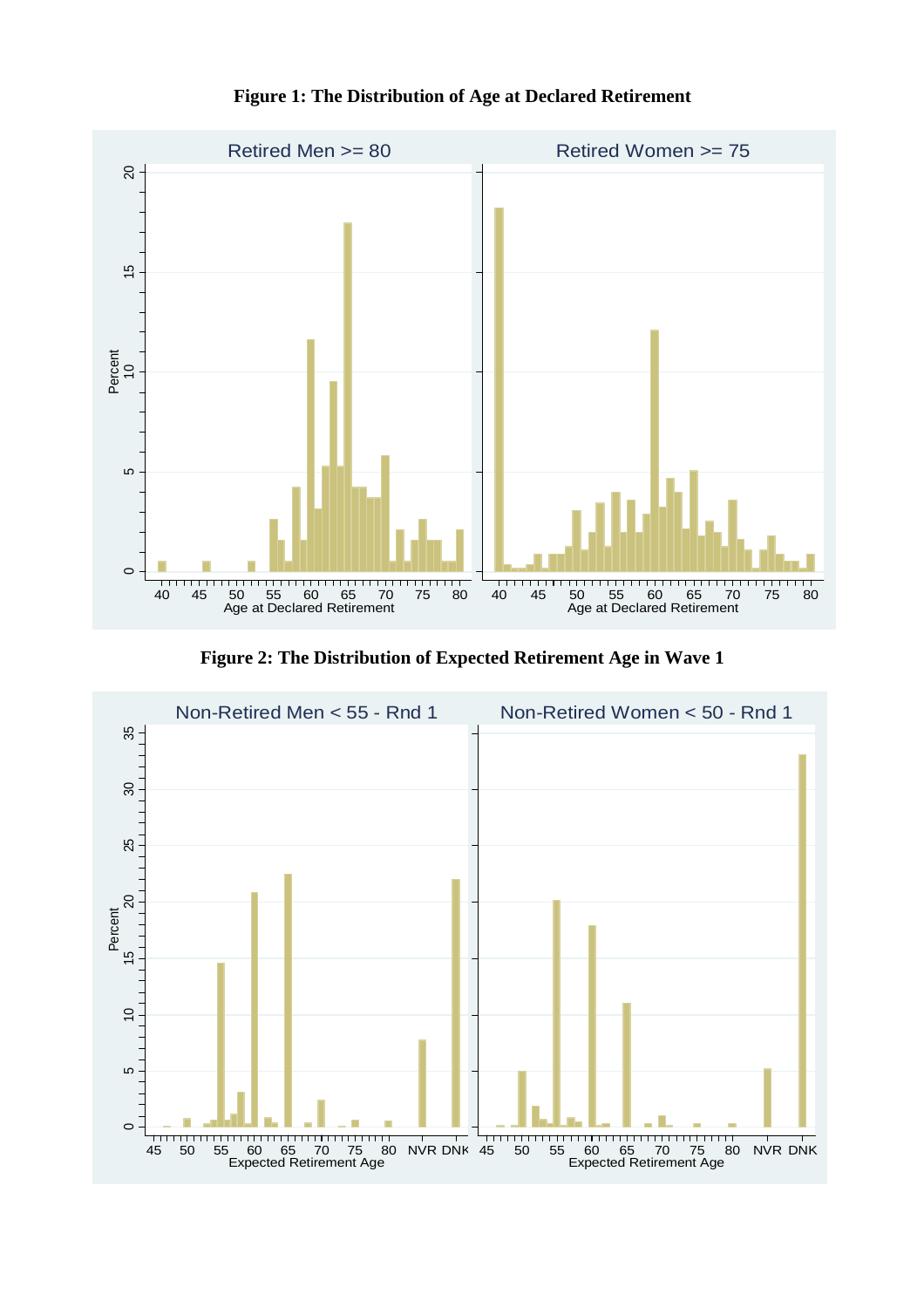

**Figure 1: The Distribution of Age at Declared Retirement**

**Figure 2: The Distribution of Expected Retirement Age in Wave 1**

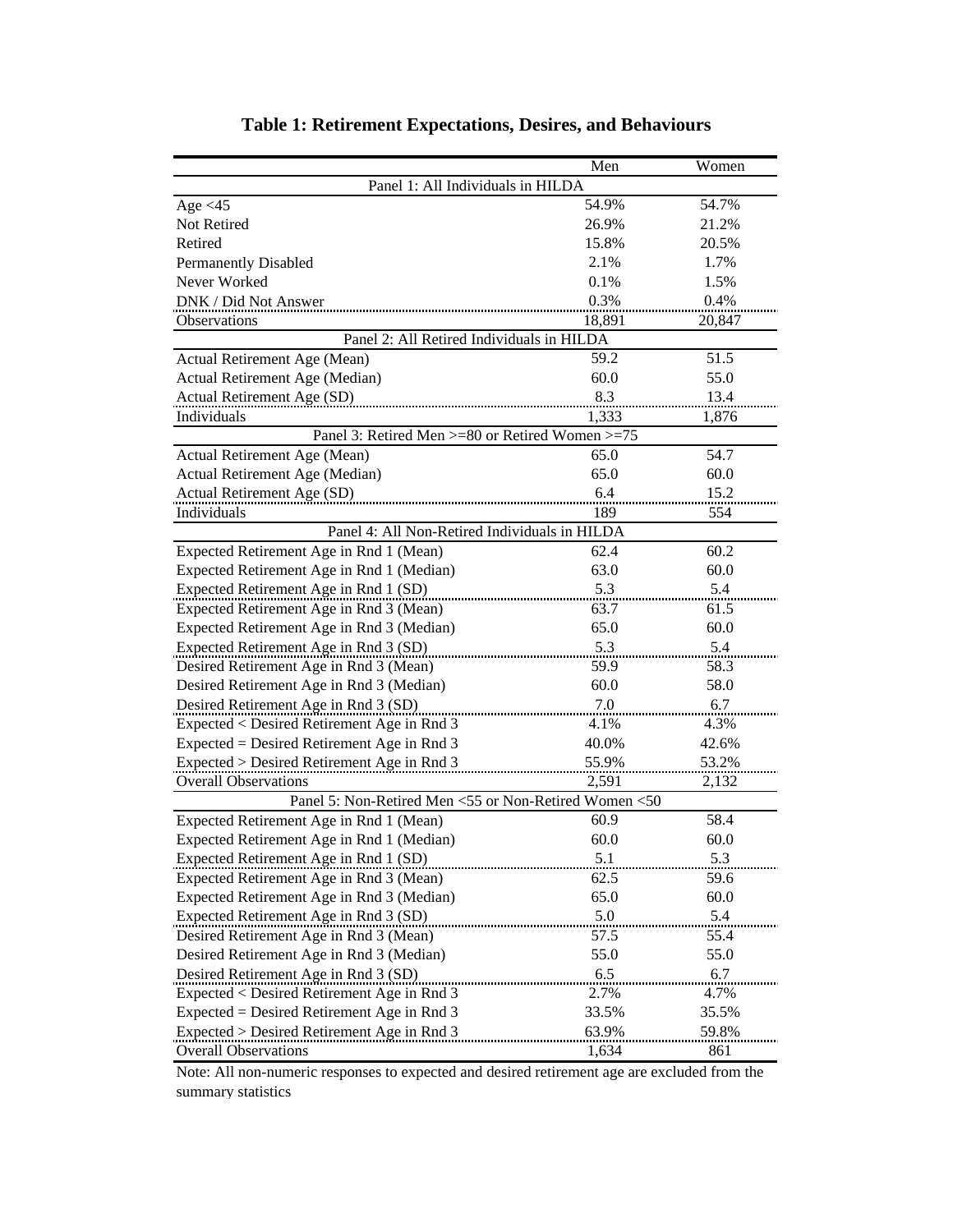|                                                       | Men    | Women  |  |  |  |
|-------------------------------------------------------|--------|--------|--|--|--|
| Panel 1: All Individuals in HILDA                     |        |        |  |  |  |
| Age $<$ 45                                            | 54.9%  | 54.7%  |  |  |  |
| Not Retired                                           | 26.9%  | 21.2%  |  |  |  |
| Retired                                               | 15.8%  | 20.5%  |  |  |  |
| <b>Permanently Disabled</b>                           | 2.1%   | 1.7%   |  |  |  |
| Never Worked                                          | 0.1%   | 1.5%   |  |  |  |
| DNK / Did Not Answer                                  | 0.3%   | 0.4%   |  |  |  |
| <b>Observations</b>                                   | 18,891 | 20,847 |  |  |  |
| Panel 2: All Retired Individuals in HILDA             |        |        |  |  |  |
| Actual Retirement Age (Mean)                          | 59.2   | 51.5   |  |  |  |
| Actual Retirement Age (Median)                        | 60.0   | 55.0   |  |  |  |
| Actual Retirement Age (SD)                            | 8.3    | 13.4   |  |  |  |
| Individuals                                           | 1,333  | 1,876  |  |  |  |
| Panel 3: Retired Men >=80 or Retired Women >=75       |        |        |  |  |  |
| Actual Retirement Age (Mean)                          | 65.0   | 54.7   |  |  |  |
| Actual Retirement Age (Median)                        | 65.0   | 60.0   |  |  |  |
| Actual Retirement Age (SD)                            | 6.4    | 15.2   |  |  |  |
| Individuals                                           | 189    | 554    |  |  |  |
| Panel 4: All Non-Retired Individuals in HILDA         |        |        |  |  |  |
| Expected Retirement Age in Rnd 1 (Mean)               | 62.4   | 60.2   |  |  |  |
| Expected Retirement Age in Rnd 1 (Median)             | 63.0   | 60.0   |  |  |  |
| Expected Retirement Age in Rnd 1 (SD)                 | 5.3    | 5.4    |  |  |  |
| Expected Retirement Age in Rnd 3 (Mean)               | 63.7   | 61.5   |  |  |  |
| Expected Retirement Age in Rnd 3 (Median)             | 65.0   | 60.0   |  |  |  |
| Expected Retirement Age in Rnd 3 (SD)                 | 5.3    | 5.4    |  |  |  |
| Desired Retirement Age in Rnd 3 (Mean)                | 59.9   | 58.3   |  |  |  |
| Desired Retirement Age in Rnd 3 (Median)              | 60.0   | 58.0   |  |  |  |
| Desired Retirement Age in Rnd 3 (SD)                  | 7.0    | 6.7    |  |  |  |
| Expected < Desired Retirement Age in Rnd 3            | 4.1%   | 4.3%   |  |  |  |
| $Expected = Design Rate$ Retirement Age in Rnd 3      | 40.0%  | 42.6%  |  |  |  |
| Expected > Desired Retirement Age in Rnd 3            | 55.9%  | 53.2%  |  |  |  |
| <b>Overall Observations</b>                           | 2,591  | 2,132  |  |  |  |
| Panel 5: Non-Retired Men <55 or Non-Retired Women <50 |        |        |  |  |  |
| Expected Retirement Age in Rnd 1 (Mean)               | 60.9   | 58.4   |  |  |  |
| Expected Retirement Age in Rnd 1 (Median)             | 60.0   | 60.0   |  |  |  |
| Expected Retirement Age in Rnd 1 (SD)                 | 5.1    | 5.3    |  |  |  |
| Expected Retirement Age in Rnd 3 (Mean)               | 62.5   | 59.6   |  |  |  |
| Expected Retirement Age in Rnd 3 (Median)             | 65.0   | 60.0   |  |  |  |
| Expected Retirement Age in Rnd 3 (SD)                 | 5.0    | 5.4    |  |  |  |
| Desired Retirement Age in Rnd 3 (Mean)                | 57.5   | 55.4   |  |  |  |
| Desired Retirement Age in Rnd 3 (Median)              | 55.0   | 55.0   |  |  |  |
| Desired Retirement Age in Rnd 3 (SD)                  | 6.5    | 6.7    |  |  |  |
| Expected < Desired Retirement Age in Rnd 3            | 2.7%   | 4.7%   |  |  |  |
| $Expected = Design Red$ Retirement Age in Rnd 3       | 33.5%  | 35.5%  |  |  |  |
| Expected > Desired Retirement Age in Rnd 3            | 63.9%  | 59.8%  |  |  |  |
| <b>Overall Observations</b>                           | 1,634  | 861    |  |  |  |

# **Table 1: Retirement Expectations, Desires, and Behaviours**

Note: All non-numeric responses to expected and desired retirement age are excluded from the summary statistics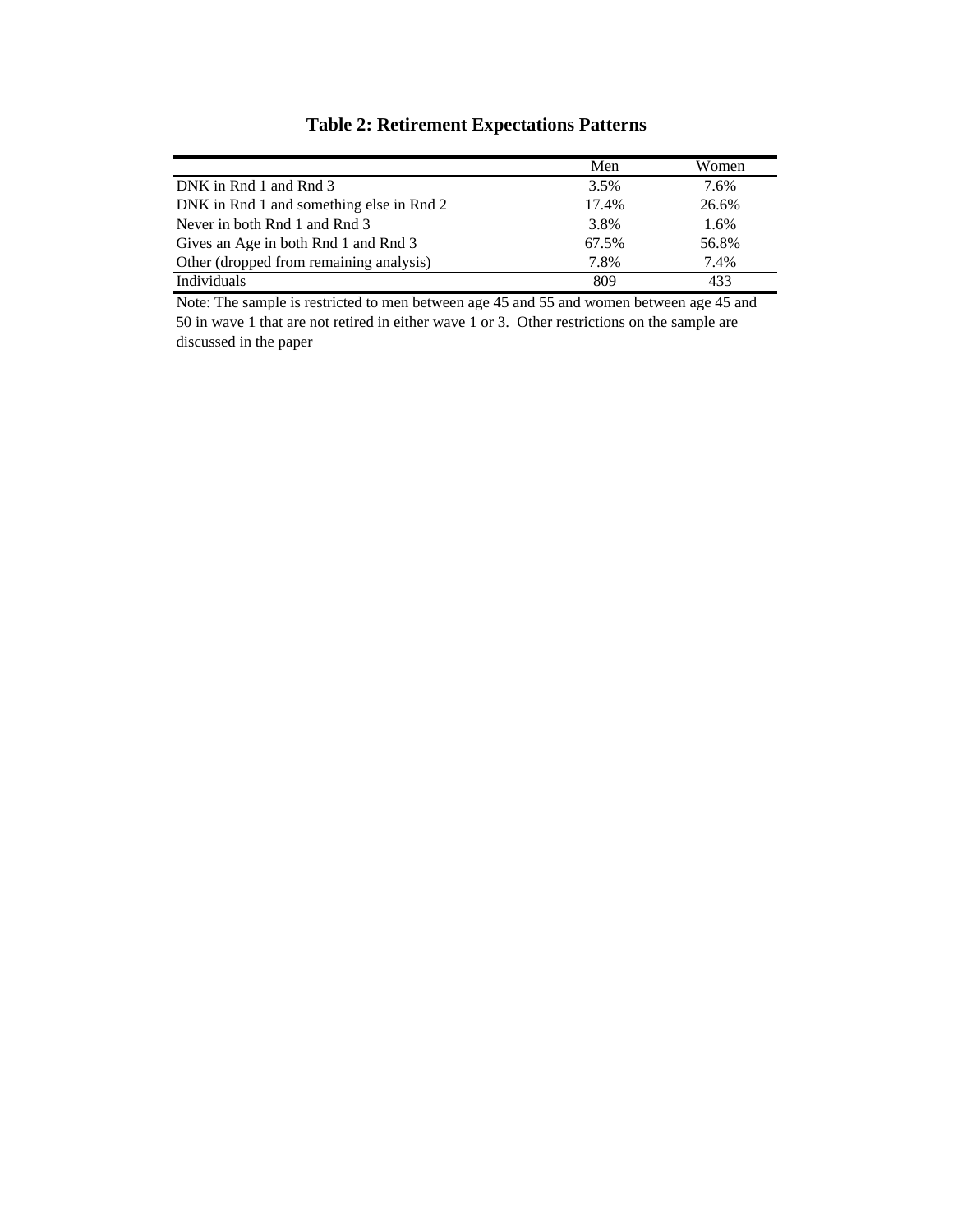|                                          | Men   | Women |
|------------------------------------------|-------|-------|
| DNK in Rnd 1 and Rnd 3                   | 3.5%  | 7.6%  |
| DNK in Rnd 1 and something else in Rnd 2 | 17.4% | 26.6% |
| Never in both Rnd 1 and Rnd 3            | 3.8%  | 1.6%  |
| Gives an Age in both Rnd 1 and Rnd 3     | 67.5% | 56.8% |
| Other (dropped from remaining analysis)  | 7.8%  | 7.4%  |
| Individuals                              | 809   | 433   |

## **Table 2: Retirement Expectations Patterns**

Note: The sample is restricted to men between age 45 and 55 and women between age 45 and 50 in wave 1 that are not retired in either wave 1 or 3. Other restrictions on the sample are discussed in the paper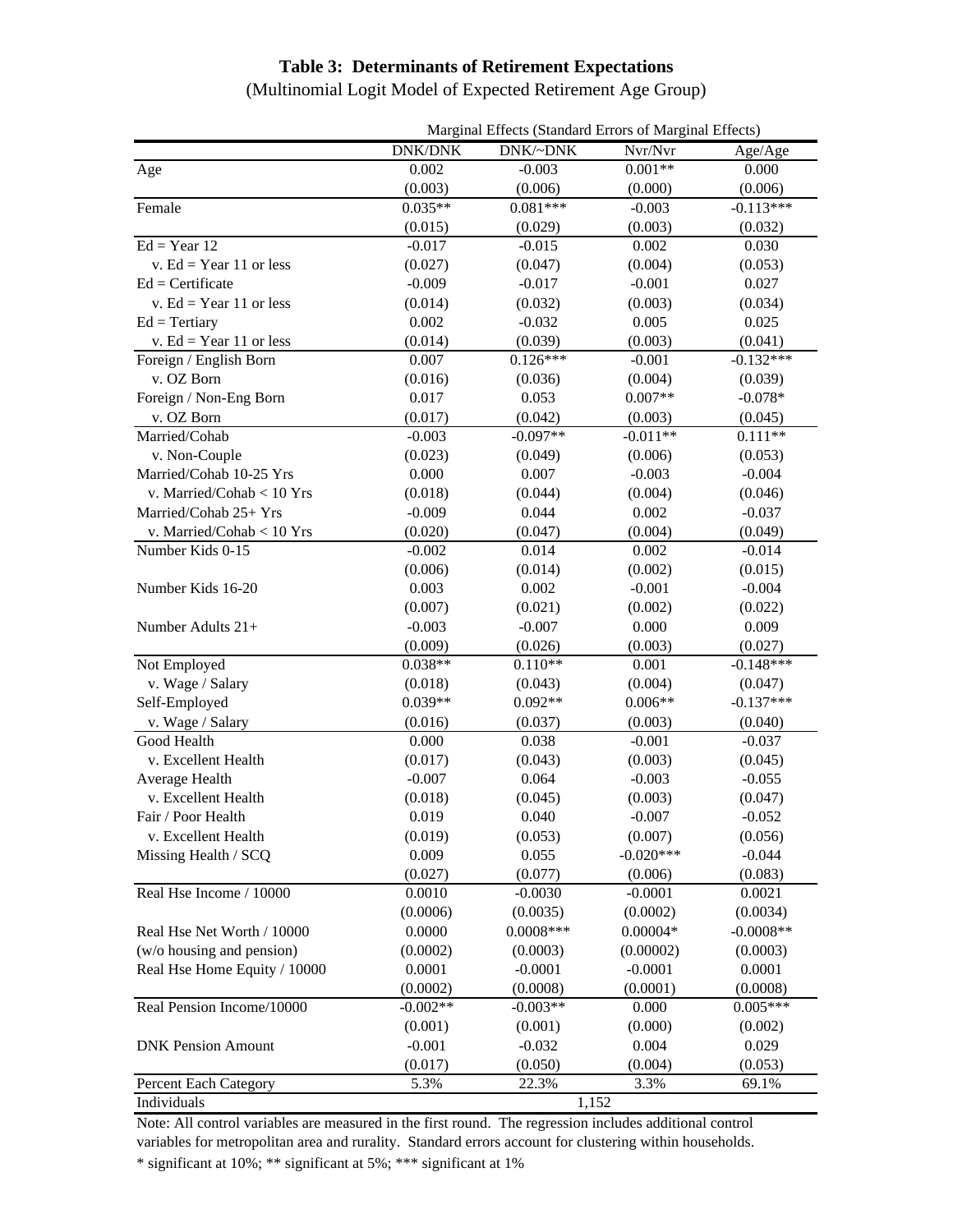### **Table 3: Determinants of Retirement Expectations**

(Multinomial Logit Model of Expected Retirement Age Group)

|                              | Marginal Effects (Standard Errors of Marginal Effects) |             |             |             |
|------------------------------|--------------------------------------------------------|-------------|-------------|-------------|
|                              | <b>DNK/DNK</b>                                         | DNK/~DNK    | Nvr/Nvr     | Age/Age     |
| Age                          | 0.002                                                  | $-0.003$    | $0.001**$   | 0.000       |
|                              | (0.003)                                                | (0.006)     | (0.000)     | (0.006)     |
| Female                       | $0.035**$                                              | $0.081***$  | $-0.003$    | $-0.113***$ |
|                              | (0.015)                                                | (0.029)     | (0.003)     | (0.032)     |
| $Ed = Year 12$               | $-0.017$                                               | $-0.015$    | 0.002       | 0.030       |
| v. Ed = Year 11 or less      | (0.027)                                                | (0.047)     | (0.004)     | (0.053)     |
| $Ed =$ Certificate           | $-0.009$                                               | $-0.017$    | $-0.001$    | 0.027       |
| v. Ed = Year 11 or less      | (0.014)                                                | (0.032)     | (0.003)     | (0.034)     |
| $Ed = Tertiary$              | 0.002                                                  | $-0.032$    | 0.005       | 0.025       |
| v. Ed = Year 11 or less      | (0.014)                                                | (0.039)     | (0.003)     | (0.041)     |
| Foreign / English Born       | 0.007                                                  | $0.126***$  | $-0.001$    | $-0.132***$ |
| v. OZ Born                   | (0.016)                                                | (0.036)     | (0.004)     | (0.039)     |
| Foreign / Non-Eng Born       | 0.017                                                  | 0.053       | $0.007**$   | $-0.078*$   |
| v. OZ Born                   | (0.017)                                                | (0.042)     | (0.003)     | (0.045)     |
| Married/Cohab                | $-0.003$                                               | $-0.097**$  | $-0.011**$  | $0.111**$   |
| v. Non-Couple                | (0.023)                                                | (0.049)     | (0.006)     | (0.053)     |
| Married/Cohab 10-25 Yrs      | 0.000                                                  | 0.007       | $-0.003$    | $-0.004$    |
| v. Married/Cohab < 10 Yrs    | (0.018)                                                | (0.044)     | (0.004)     | (0.046)     |
| Married/Cohab 25+ Yrs        | $-0.009$                                               | 0.044       | 0.002       | $-0.037$    |
| v. Married/Cohab < 10 Yrs    | (0.020)                                                | (0.047)     | (0.004)     | (0.049)     |
| Number Kids 0-15             | $-0.002$                                               | 0.014       | 0.002       | $-0.014$    |
|                              | (0.006)                                                | (0.014)     | (0.002)     | (0.015)     |
| Number Kids 16-20            | 0.003                                                  | 0.002       | $-0.001$    | $-0.004$    |
|                              | (0.007)                                                | (0.021)     | (0.002)     | (0.022)     |
| Number Adults 21+            | $-0.003$                                               | $-0.007$    | 0.000       | 0.009       |
|                              | (0.009)                                                | (0.026)     | (0.003)     | (0.027)     |
| Not Employed                 | $0.038**$                                              | $0.110**$   | 0.001       | $-0.148***$ |
| v. Wage / Salary             | (0.018)                                                | (0.043)     | (0.004)     | (0.047)     |
| Self-Employed                | $0.039**$                                              | $0.092**$   | $0.006**$   | $-0.137***$ |
| v. Wage / Salary             | (0.016)                                                | (0.037)     | (0.003)     | (0.040)     |
| Good Health                  | 0.000                                                  | 0.038       | $-0.001$    | $-0.037$    |
| v. Excellent Health          | (0.017)                                                | (0.043)     | (0.003)     | (0.045)     |
| Average Health               | $-0.007$                                               | 0.064       | $-0.003$    | $-0.055$    |
| v. Excellent Health          | (0.018)                                                | (0.045)     | (0.003)     | (0.047)     |
| Fair / Poor Health           | 0.019                                                  | 0.040       | $-0.007$    | $-0.052$    |
| v. Excellent Health          | (0.019)                                                | (0.053)     | (0.007)     | (0.056)     |
| Missing Health / SCQ         | 0.009                                                  | 0.055       | $-0.020***$ | $-0.044$    |
|                              | (0.027)                                                | (0.077)     | (0.006)     | (0.083)     |
| Real Hse Income / 10000      | 0.0010                                                 | $-0.0030$   | $-0.0001$   | 0.0021      |
|                              | (0.0006)                                               | (0.0035)    | (0.0002)    | (0.0034)    |
| Real Hse Net Worth / 10000   | 0.0000                                                 | $0.0008***$ | $0.00004*$  | $-0.0008**$ |
| (w/o housing and pension)    | (0.0002)                                               | (0.0003)    | (0.00002)   | (0.0003)    |
| Real Hse Home Equity / 10000 | 0.0001                                                 | $-0.0001$   | $-0.0001$   | 0.0001      |
|                              | (0.0002)                                               | (0.0008)    | (0.0001)    | (0.0008)    |
| Real Pension Income/10000    | $-0.002**$                                             | $-0.003**$  | 0.000       | $0.005***$  |
|                              | (0.001)                                                | (0.001)     | (0.000)     | (0.002)     |
| <b>DNK Pension Amount</b>    | $-0.001$                                               | $-0.032$    | 0.004       | 0.029       |
|                              | (0.017)                                                | (0.050)     | (0.004)     | (0.053)     |
| Percent Each Category        | 5.3%                                                   | 22.3%       | 3.3%        | 69.1%       |
| Individuals                  | 1,152                                                  |             |             |             |

Note: All control variables are measured in the first round. The regression includes additional control variables for metropolitan area and rurality. Standard errors account for clustering within households.

\* significant at 10%; \*\* significant at 5%; \*\*\* significant at 1%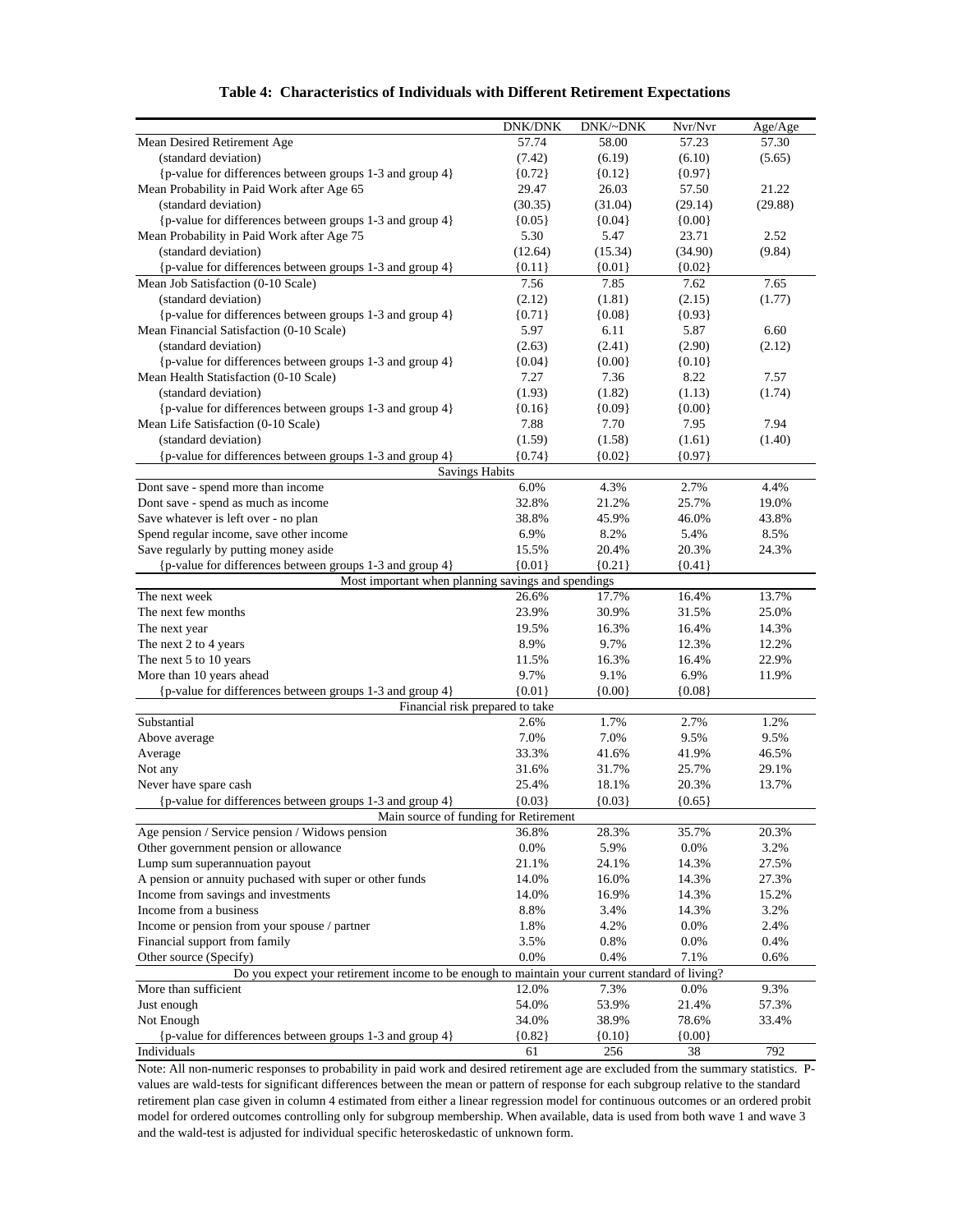|  | Table 4: Characteristics of Individuals with Different Retirement Expectations |  |  |  |  |
|--|--------------------------------------------------------------------------------|--|--|--|--|
|--|--------------------------------------------------------------------------------|--|--|--|--|

|                                                                                                | <b>DNK/DNK</b> | DNK/~DNK | Nvr/Nvr  | Age/Age |
|------------------------------------------------------------------------------------------------|----------------|----------|----------|---------|
| Mean Desired Retirement Age                                                                    | 57.74          | 58.00    | 57.23    | 57.30   |
| (standard deviation)                                                                           | (7.42)         | (6.19)   | (6.10)   | (5.65)  |
| {p-value for differences between groups 1-3 and group 4}                                       | ${0.72}$       | ${0.12}$ | ${0.97}$ |         |
| Mean Probability in Paid Work after Age 65                                                     | 29.47          | 26.03    | 57.50    | 21.22   |
| (standard deviation)                                                                           | (30.35)        | (31.04)  | (29.14)  | (29.88) |
| {p-value for differences between groups 1-3 and group 4}                                       | ${0.05}$       | ${0.04}$ | ${0.00}$ |         |
| Mean Probability in Paid Work after Age 75                                                     | 5.30           | 5.47     | 23.71    | 2.52    |
| (standard deviation)                                                                           | (12.64)        | (15.34)  | (34.90)  | (9.84)  |
| {p-value for differences between groups 1-3 and group 4}                                       | ${0.11}$       | ${0.01}$ | ${0.02}$ |         |
| Mean Job Satisfaction (0-10 Scale)                                                             | 7.56           | 7.85     | 7.62     | 7.65    |
| (standard deviation)                                                                           | (2.12)         | (1.81)   | (2.15)   | (1.77)  |
| {p-value for differences between groups 1-3 and group 4}                                       | ${0.71}$       | ${0.08}$ | ${0.93}$ |         |
| Mean Financial Satisfaction (0-10 Scale)                                                       | 5.97           | 6.11     | 5.87     | 6.60    |
| (standard deviation)                                                                           | (2.63)         | (2.41)   | (2.90)   | (2.12)  |
| {p-value for differences between groups 1-3 and group 4}                                       | ${0.04}$       | ${0.00}$ | ${0.10}$ |         |
| Mean Health Statisfaction (0-10 Scale)                                                         | 7.27           | 7.36     | 8.22     | 7.57    |
| (standard deviation)                                                                           | (1.93)         | (1.82)   | (1.13)   | (1.74)  |
| {p-value for differences between groups 1-3 and group 4}                                       | ${0.16}$       | ${0.09}$ | ${0.00}$ |         |
| Mean Life Satisfaction (0-10 Scale)                                                            | 7.88           | 7.70     | 7.95     | 7.94    |
| (standard deviation)                                                                           | (1.59)         | (1.58)   | (1.61)   | (1.40)  |
| {p-value for differences between groups 1-3 and group 4}                                       | ${0.74}$       | ${0.02}$ | ${0.97}$ |         |
| <b>Savings Habits</b>                                                                          |                |          |          |         |
| Dont save - spend more than income                                                             | 6.0%           | 4.3%     | 2.7%     | 4.4%    |
| Dont save - spend as much as income                                                            | 32.8%          | 21.2%    | 25.7%    | 19.0%   |
| Save whatever is left over - no plan                                                           | 38.8%          | 45.9%    | 46.0%    | 43.8%   |
| Spend regular income, save other income                                                        | 6.9%           | 8.2%     | 5.4%     | 8.5%    |
| Save regularly by putting money aside                                                          | 15.5%          | 20.4%    | 20.3%    | 24.3%   |
| {p-value for differences between groups 1-3 and group 4}                                       | ${0.01}$       | ${0.21}$ | ${0.41}$ |         |
| Most important when planning savings and spendings                                             |                |          |          |         |
| The next week                                                                                  | 26.6%          | 17.7%    | 16.4%    | 13.7%   |
| The next few months                                                                            | 23.9%          | 30.9%    | 31.5%    | 25.0%   |
| The next year                                                                                  | 19.5%          | 16.3%    | 16.4%    | 14.3%   |
| The next 2 to 4 years                                                                          | 8.9%           | 9.7%     | 12.3%    | 12.2%   |
| The next 5 to 10 years                                                                         | 11.5%          | 16.3%    | 16.4%    | 22.9%   |
| More than 10 years ahead                                                                       | 9.7%           | 9.1%     | 6.9%     | 11.9%   |
| {p-value for differences between groups 1-3 and group 4}                                       | ${0.01}$       | ${0.00}$ | ${0.08}$ |         |
| Financial risk prepared to take                                                                |                |          |          |         |
| Substantial                                                                                    | 2.6%           | 1.7%     | 2.7%     | 1.2%    |
| Above average                                                                                  | 7.0%           | 7.0%     | 9.5%     | 9.5%    |
| Average                                                                                        | 33.3%          | 41.6%    | 41.9%    | 46.5%   |
| Not any                                                                                        | 31.6%          | 31.7%    | 25.7%    | 29.1%   |
| Never have spare cash                                                                          | 25.4%          | 18.1%    | 20.3%    | 13.7%   |
| {p-value for differences between groups 1-3 and group 4}                                       | ${0.03}$       | ${0.03}$ | ${0.65}$ |         |
| Main source of funding for Retirement                                                          |                |          |          |         |
| Age pension / Service pension / Widows pension                                                 | 36.8%          | 28.3%    | 35.7%    | 20.3%   |
| Other government pension or allowance                                                          | 0.0%           | 5.9%     | 0.0%     | 3.2%    |
| Lump sum superannuation payout                                                                 | 21.1%          | 24.1%    | 14.3%    | 27.5%   |
| A pension or annuity puchased with super or other funds                                        | 14.0%          | 16.0%    | 14.3%    | 27.3%   |
| Income from savings and investments                                                            | 14.0%          | 16.9%    | 14.3%    | 15.2%   |
| Income from a business                                                                         | 8.8%           | 3.4%     | 14.3%    | 3.2%    |
| Income or pension from your spouse / partner                                                   | 1.8%           | 4.2%     | 0.0%     | 2.4%    |
| Financial support from family                                                                  | 3.5%           | 0.8%     | 0.0%     | 0.4%    |
| Other source (Specify)                                                                         | 0.0%           | 0.4%     | 7.1%     | 0.6%    |
| Do you expect your retirement income to be enough to maintain your current standard of living? |                |          |          |         |
| More than sufficient                                                                           | 12.0%          | 7.3%     | 0.0%     | 9.3%    |
| Just enough                                                                                    | 54.0%          | 53.9%    | 21.4%    | 57.3%   |
| Not Enough                                                                                     | 34.0%          | 38.9%    | 78.6%    | 33.4%   |
| {p-value for differences between groups 1-3 and group 4}                                       | ${0.82}$       | ${0.10}$ | ${0.00}$ |         |
| Individuals                                                                                    | 61             | 256      | 38       | 792     |

Note: All non-numeric responses to probability in paid work and desired retirement age are excluded from the summary statistics. Pvalues are wald-tests for significant differences between the mean or pattern of response for each subgroup relative to the standard retirement plan case given in column 4 estimated from either a linear regression model for continuous outcomes or an ordered probit model for ordered outcomes controlling only for subgroup membership. When available, data is used from both wave 1 and wave 3 and the wald-test is adjusted for individual specific heteroskedastic of unknown form.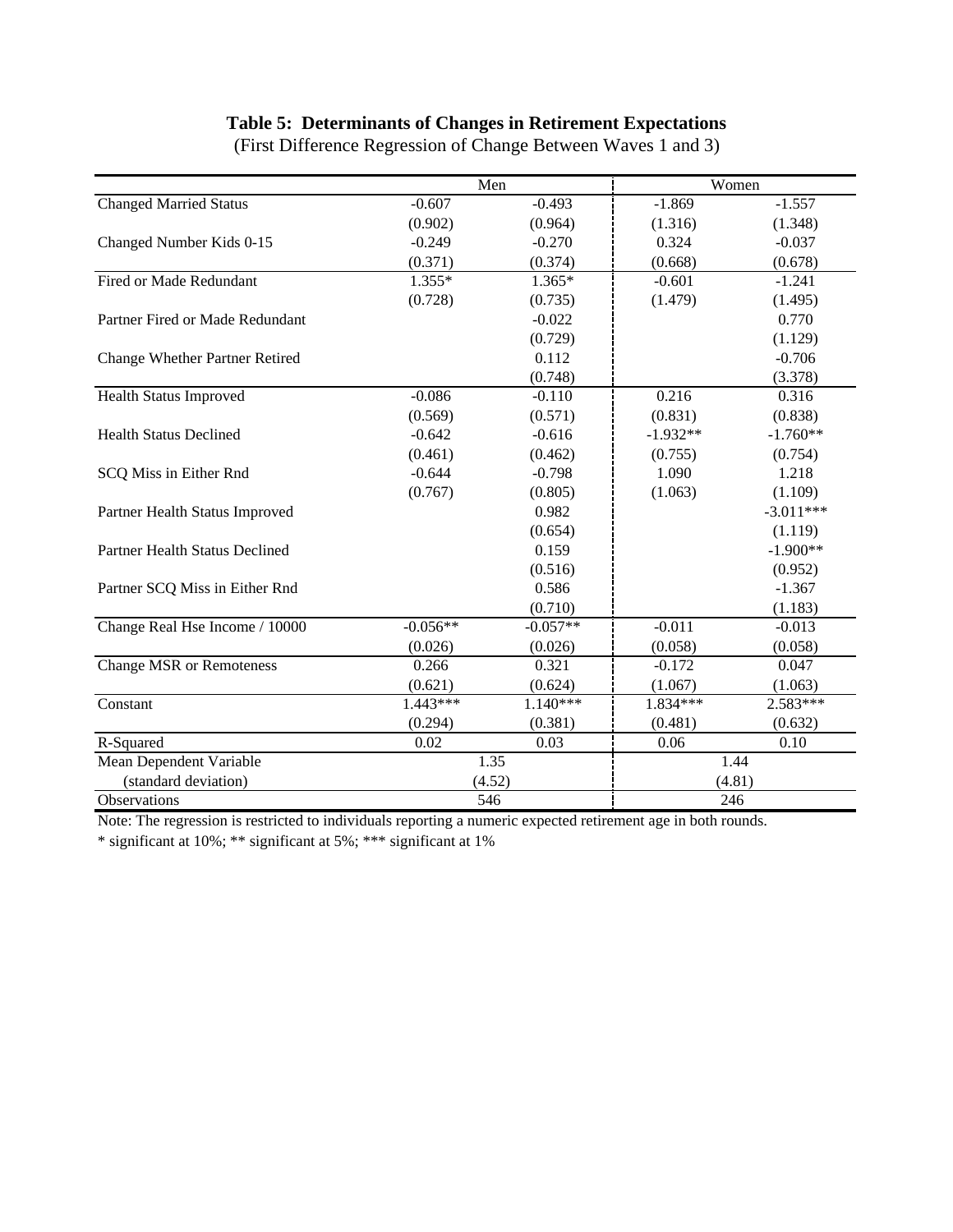## **Table 5: Determinants of Changes in Retirement Expectations**

|                                       | Men        |            | Women      |             |
|---------------------------------------|------------|------------|------------|-------------|
| <b>Changed Married Status</b>         | $-0.607$   | $-0.493$   | $-1.869$   | $-1.557$    |
|                                       | (0.902)    | (0.964)    | (1.316)    | (1.348)     |
| Changed Number Kids 0-15              | $-0.249$   | $-0.270$   | 0.324      | $-0.037$    |
|                                       | (0.371)    | (0.374)    | (0.668)    | (0.678)     |
| Fired or Made Redundant               | $1.355*$   | $1.365*$   | $-0.601$   | $-1.241$    |
|                                       | (0.728)    | (0.735)    | (1.479)    | (1.495)     |
| Partner Fired or Made Redundant       |            | $-0.022$   |            | 0.770       |
|                                       |            | (0.729)    |            | (1.129)     |
| <b>Change Whether Partner Retired</b> |            | 0.112      |            | $-0.706$    |
|                                       |            | (0.748)    |            | (3.378)     |
| Health Status Improved                | $-0.086$   | $-0.110$   | 0.216      | 0.316       |
|                                       | (0.569)    | (0.571)    | (0.831)    | (0.838)     |
| <b>Health Status Declined</b>         | $-0.642$   | $-0.616$   | $-1.932**$ | $-1.760**$  |
|                                       | (0.461)    | (0.462)    | (0.755)    | (0.754)     |
| SCQ Miss in Either Rnd                | $-0.644$   | $-0.798$   | 1.090      | 1.218       |
|                                       | (0.767)    | (0.805)    | (1.063)    | (1.109)     |
| Partner Health Status Improved        |            | 0.982      |            | $-3.011***$ |
|                                       |            | (0.654)    |            | (1.119)     |
| Partner Health Status Declined        |            | 0.159      |            | $-1.900**$  |
|                                       |            | (0.516)    |            | (0.952)     |
| Partner SCQ Miss in Either Rnd        |            | 0.586      |            | $-1.367$    |
|                                       |            | (0.710)    |            | (1.183)     |
| Change Real Hse Income / 10000        | $-0.056**$ | $-0.057**$ | $-0.011$   | $-0.013$    |
|                                       | (0.026)    | (0.026)    | (0.058)    | (0.058)     |
| <b>Change MSR</b> or Remoteness       | 0.266      | 0.321      | $-0.172$   | 0.047       |
|                                       | (0.621)    | (0.624)    | (1.067)    | (1.063)     |
| Constant                              | $1.443***$ | $1.140***$ | 1.834***   | 2.583***    |
|                                       | (0.294)    | (0.381)    | (0.481)    | (0.632)     |
| R-Squared                             | 0.02       | 0.03       | 0.06       | 0.10        |
| Mean Dependent Variable               |            | 1.35       |            | 1.44        |
| (standard deviation)                  |            | (4.52)     | (4.81)     |             |
| Observations                          | 546        |            | 246        |             |

(First Difference Regression of Change Between Waves 1 and 3)

Note: The regression is restricted to individuals reporting a numeric expected retirement age in both rounds.

\* significant at 10%; \*\* significant at 5%; \*\*\* significant at 1%